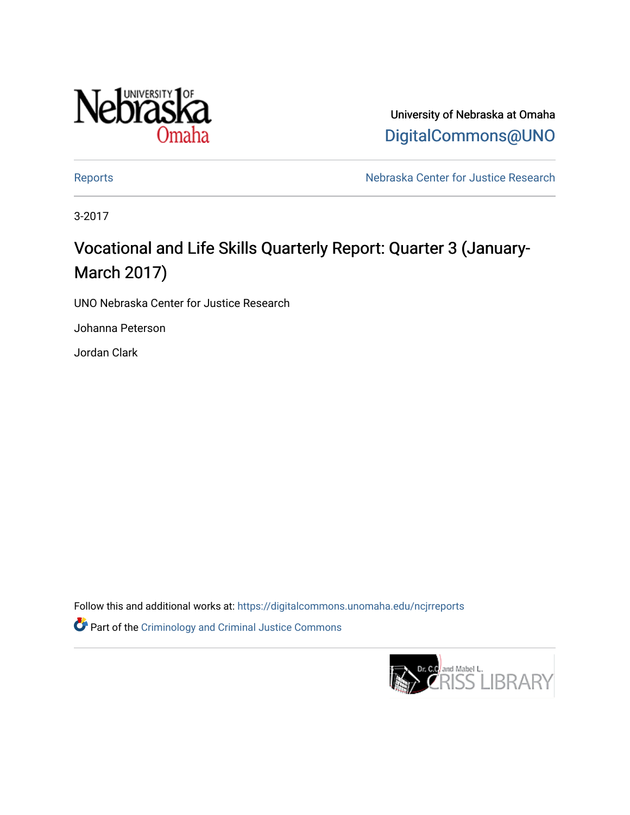

University of Nebraska at Omaha [DigitalCommons@UNO](https://digitalcommons.unomaha.edu/) 

[Reports](https://digitalcommons.unomaha.edu/ncjrreports) **Nebraska Center for Justice Research** 

3-2017

# Vocational and Life Skills Quarterly Report: Quarter 3 (January-March 2017)

UNO Nebraska Center for Justice Research

Johanna Peterson

Jordan Clark

Follow this and additional works at: [https://digitalcommons.unomaha.edu/ncjrreports](https://digitalcommons.unomaha.edu/ncjrreports?utm_source=digitalcommons.unomaha.edu%2Fncjrreports%2F26&utm_medium=PDF&utm_campaign=PDFCoverPages)  Part of the [Criminology and Criminal Justice Commons](http://network.bepress.com/hgg/discipline/367?utm_source=digitalcommons.unomaha.edu%2Fncjrreports%2F26&utm_medium=PDF&utm_campaign=PDFCoverPages)

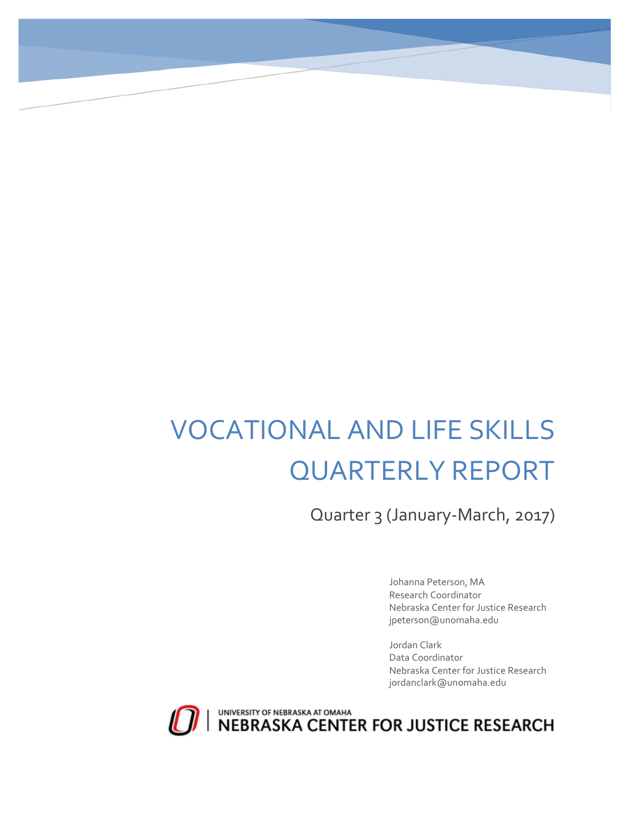# VOCATIONAL AND LIFE SKILLS QUARTERLY REPORT

Quarter 3 (January-March, 2017)

Johanna Peterson, MA Research Coordinator Nebraska Center for Justice Research jpeterson@unomaha.edu

Jordan Clark Data Coordinator Nebraska Center for Justice Research jordanclark@unomaha.edu



UNIVERSITY OF NEBRASKA AT OMAHA<br>NEBRASKA CENTER FOR JUSTICE RESEARCH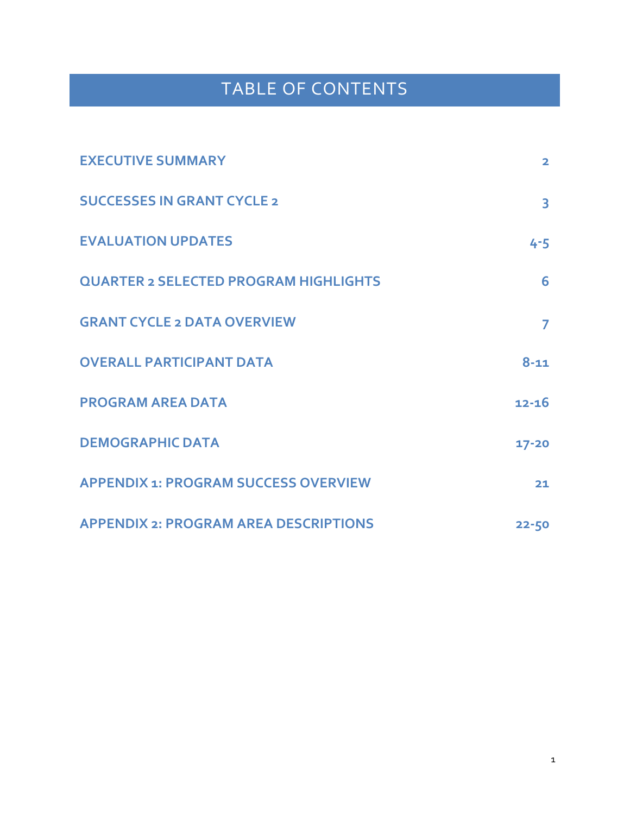# TABLE OF CONTENTS

| <b>EXECUTIVE SUMMARY</b>                     | $\overline{2}$          |
|----------------------------------------------|-------------------------|
| <b>SUCCESSES IN GRANT CYCLE 2</b>            | $\overline{\mathbf{3}}$ |
| <b>EVALUATION UPDATES</b>                    | $4 - 5$                 |
| <b>QUARTER 2 SELECTED PROGRAM HIGHLIGHTS</b> | 6                       |
| <b>GRANT CYCLE 2 DATA OVERVIEW</b>           | $\overline{7}$          |
| <b>OVERALL PARTICIPANT DATA</b>              | $8 - 11$                |
| <b>PROGRAM AREA DATA</b>                     | $12 - 16$               |
| <b>DEMOGRAPHIC DATA</b>                      | $17 - 20$               |
| <b>APPENDIX 1: PROGRAM SUCCESS OVERVIEW</b>  | 21                      |
| <b>APPENDIX 2: PROGRAM AREA DESCRIPTIONS</b> | $22 - 50$               |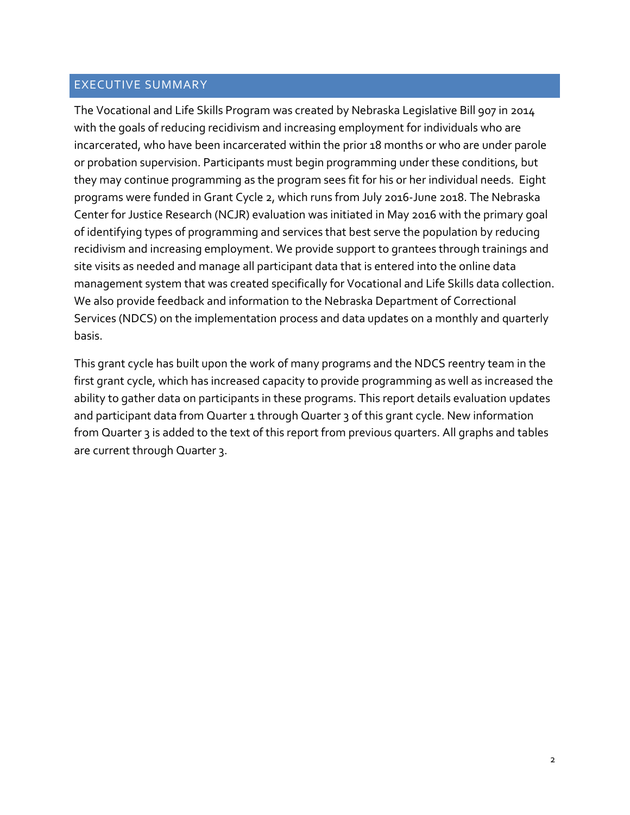# EXECUTIVE SUMMARY

The Vocational and Life Skills Program was created by Nebraska Legislative Bill 907 in 2014 with the goals of reducing recidivism and increasing employment for individuals who are incarcerated, who have been incarcerated within the prior 18 months or who are under parole or probation supervision. Participants must begin programming under these conditions, but they may continue programming as the program sees fit for his or her individual needs. Eight programs were funded in Grant Cycle 2, which runs from July 2016-June 2018. The Nebraska Center for Justice Research (NCJR) evaluation was initiated in May 2016 with the primary goal of identifying types of programming and services that best serve the population by reducing recidivism and increasing employment. We provide support to grantees through trainings and site visits as needed and manage all participant data that is entered into the online data management system that was created specifically for Vocational and Life Skills data collection. We also provide feedback and information to the Nebraska Department of Correctional Services (NDCS) on the implementation process and data updates on a monthly and quarterly basis.

This grant cycle has built upon the work of many programs and the NDCS reentry team in the first grant cycle, which has increased capacity to provide programming as well as increased the ability to gather data on participants in these programs. This report details evaluation updates and participant data from Quarter 1 through Quarter 3 of this grant cycle. New information from Quarter 3 is added to the text of this report from previous quarters. All graphs and tables are current through Quarter 3.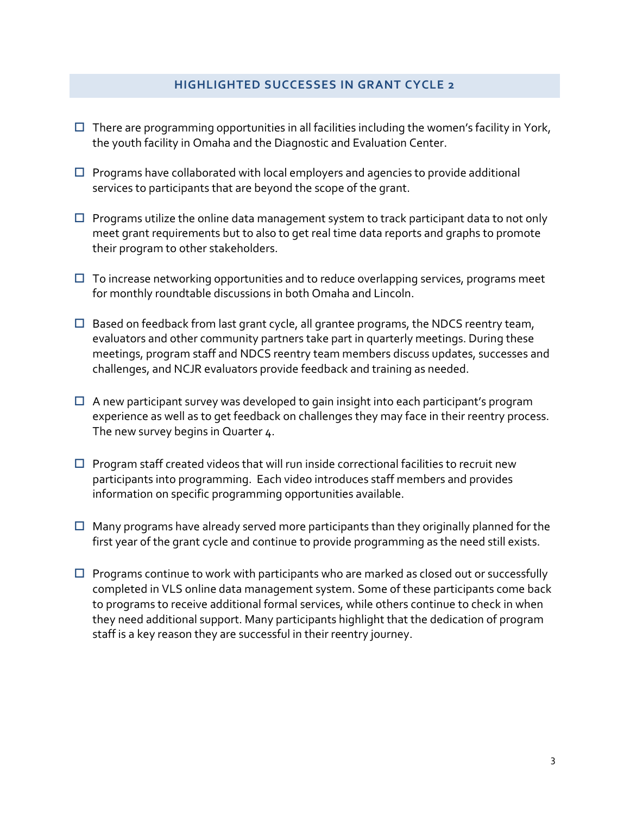#### **HIGHLIGHTED SUCCESSES IN GRANT CYCLE 2**

- $\Box$  There are programming opportunities in all facilities including the women's facility in York, the youth facility in Omaha and the Diagnostic and Evaluation Center.
- $\square$  Programs have collaborated with local employers and agencies to provide additional services to participants that are beyond the scope of the grant.
- $\Box$  Programs utilize the online data management system to track participant data to not only meet grant requirements but to also to get real time data reports and graphs to promote their program to other stakeholders.
- $\Box$  To increase networking opportunities and to reduce overlapping services, programs meet for monthly roundtable discussions in both Omaha and Lincoln.
- $\Box$  Based on feedback from last grant cycle, all grantee programs, the NDCS reentry team, evaluators and other community partners take part in quarterly meetings. During these meetings, program staff and NDCS reentry team members discuss updates, successes and challenges, and NCJR evaluators provide feedback and training as needed.
- $\Box$  A new participant survey was developed to gain insight into each participant's program experience as well as to get feedback on challenges they may face in their reentry process. The new survey begins in Quarter 4.
- $\square$  Program staff created videos that will run inside correctional facilities to recruit new participants into programming. Each video introduces staff members and provides information on specific programming opportunities available.
- $\Box$  Many programs have already served more participants than they originally planned for the first year of the grant cycle and continue to provide programming as the need still exists.
- $\Box$  Programs continue to work with participants who are marked as closed out or successfully completed in VLS online data management system. Some of these participants come back to programs to receive additional formal services, while others continue to check in when they need additional support. Many participants highlight that the dedication of program staff is a key reason they are successful in their reentry journey.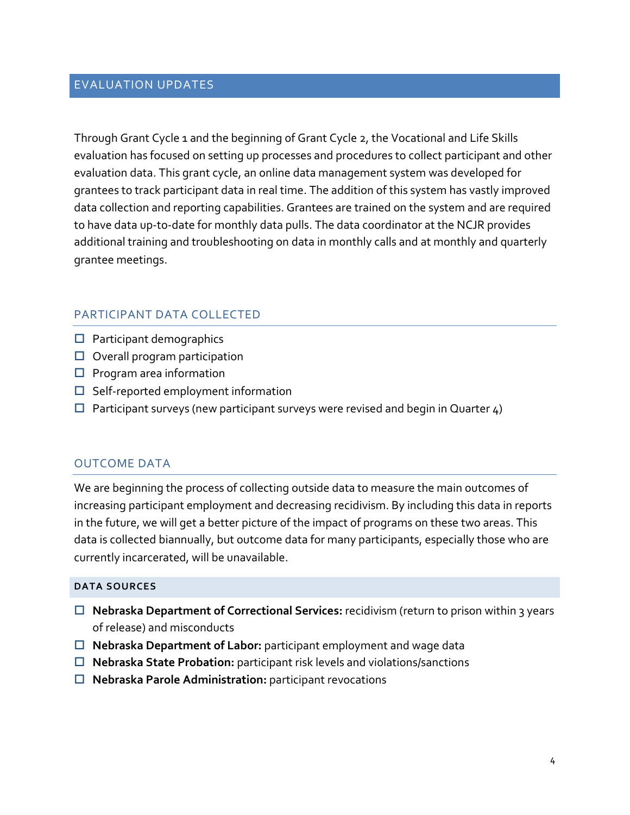## EVALUATION UPDATES

Through Grant Cycle 1 and the beginning of Grant Cycle 2, the Vocational and Life Skills evaluation has focused on setting up processes and procedures to collect participant and other evaluation data. This grant cycle, an online data management system was developed for grantees to track participant data in real time. The addition of this system has vastly improved data collection and reporting capabilities. Grantees are trained on the system and are required to have data up-to-date for monthly data pulls. The data coordinator at the NCJR provides additional training and troubleshooting on data in monthly calls and at monthly and quarterly grantee meetings.

# PARTICIPANT DATA COLLECTED

- $\Box$  Participant demographics
- $\Box$  Overall program participation
- $\square$  Program area information
- $\Box$  Self-reported employment information
- $\Box$  Participant surveys (new participant surveys were revised and begin in Quarter  $\Delta$ )

#### OUTCOME DATA

We are beginning the process of collecting outside data to measure the main outcomes of increasing participant employment and decreasing recidivism. By including this data in reports in the future, we will get a better picture of the impact of programs on these two areas. This data is collected biannually, but outcome data for many participants, especially those who are currently incarcerated, will be unavailable.

#### **DATA SOURCES**

- **Nebraska Department of Correctional Services:** recidivism (return to prison within 3 years of release) and misconducts
- **Nebraska Department of Labor:** participant employment and wage data
- **Nebraska State Probation:** participant risk levels and violations/sanctions
- **Nebraska Parole Administration:** participant revocations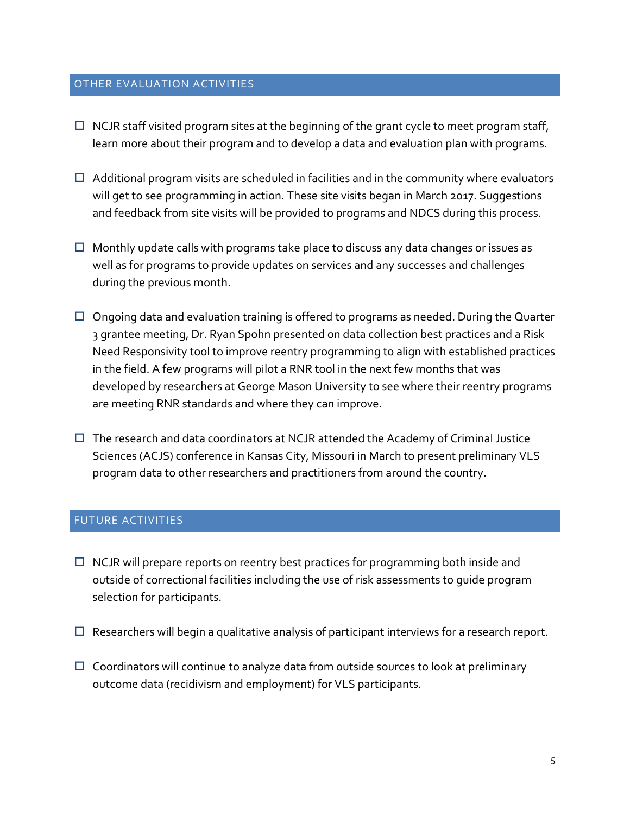#### OTHER EVALUATION ACTIVITIES

- $\Box$  NCJR staff visited program sites at the beginning of the grant cycle to meet program staff, learn more about their program and to develop a data and evaluation plan with programs.
- $\Box$  Additional program visits are scheduled in facilities and in the community where evaluators will get to see programming in action. These site visits began in March 2017. Suggestions and feedback from site visits will be provided to programs and NDCS during this process.
- $\Box$  Monthly update calls with programs take place to discuss any data changes or issues as well as for programs to provide updates on services and any successes and challenges during the previous month.
- $\Box$  Ongoing data and evaluation training is offered to programs as needed. During the Quarter 3 grantee meeting, Dr. Ryan Spohn presented on data collection best practices and a Risk Need Responsivity tool to improve reentry programming to align with established practices in the field. A few programs will pilot a RNR tool in the next few months that was developed by researchers at George Mason University to see where their reentry programs are meeting RNR standards and where they can improve.
- $\Box$  The research and data coordinators at NCJR attended the Academy of Criminal Justice Sciences (ACJS) conference in Kansas City, Missouri in March to present preliminary VLS program data to other researchers and practitioners from around the country.

#### FUTURE ACTIVITIES

- $\Box$  NCJR will prepare reports on reentry best practices for programming both inside and outside of correctional facilities including the use of risk assessments to guide program selection for participants.
- $\Box$  Researchers will begin a qualitative analysis of participant interviews for a research report.
- $\Box$  Coordinators will continue to analyze data from outside sources to look at preliminary outcome data (recidivism and employment) for VLS participants.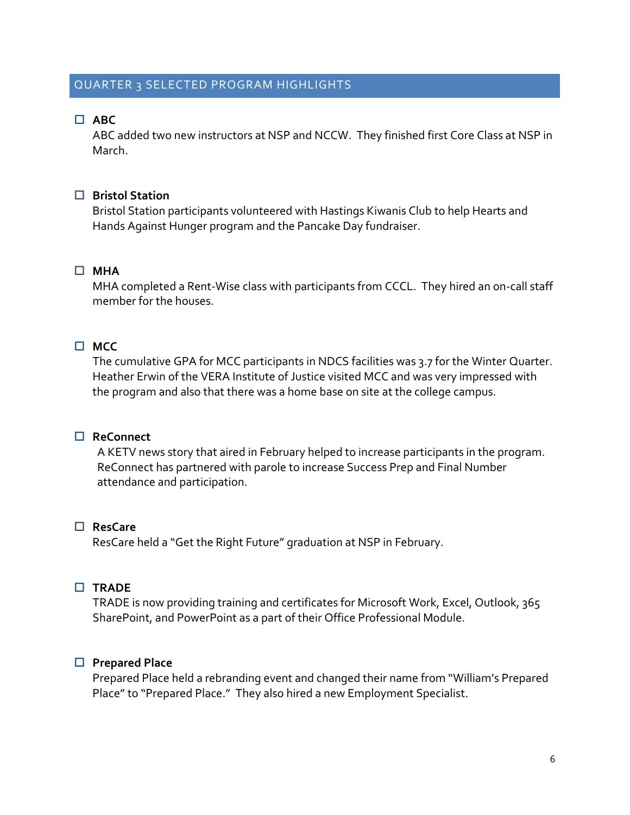#### QUARTER 3 SELECTED PROGRAM HIGHLIGHTS

# **ABC**

ABC added two new instructors at NSP and NCCW. They finished first Core Class at NSP in March.

#### **Bristol Station**

Bristol Station participants volunteered with Hastings Kiwanis Club to help Hearts and Hands Against Hunger program and the Pancake Day fundraiser.

#### **MHA**

MHA completed a Rent-Wise class with participants from CCCL. They hired an on-call staff member for the houses.

# **MCC**

The cumulative GPA for MCC participants in NDCS facilities was 3.7 for the Winter Quarter. Heather Erwin of the VERA Institute of Justice visited MCC and was very impressed with the program and also that there was a home base on site at the college campus.

#### **ReConnect**

A KETV news story that aired in February helped to increase participants in the program. ReConnect has partnered with parole to increase Success Prep and Final Number attendance and participation.

# **ResCare**

ResCare held a "Get the Right Future" graduation at NSP in February.

#### **TRADE**

TRADE is now providing training and certificates for Microsoft Work, Excel, Outlook, 365 SharePoint, and PowerPoint as a part of their Office Professional Module.

#### **Prepared Place**

Prepared Place held a rebranding event and changed their name from "William's Prepared Place" to "Prepared Place." They also hired a new Employment Specialist.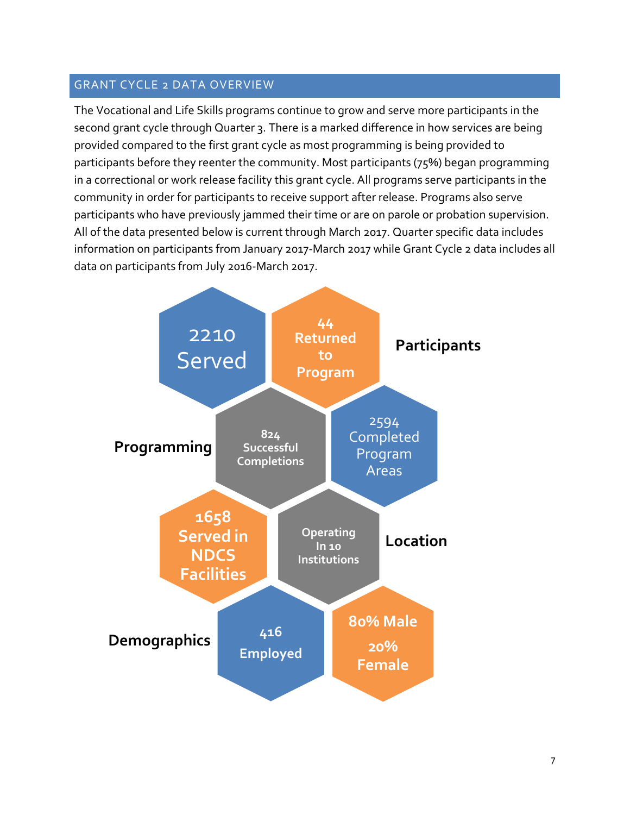# GRANT CYCLE 2 DATA OVERVIEW

The Vocational and Life Skills programs continue to grow and serve more participants in the second grant cycle through Quarter 3. There is a marked difference in how services are being provided compared to the first grant cycle as most programming is being provided to participants before they reenter the community. Most participants (75%) began programming in a correctional or work release facility this grant cycle. All programs serve participants in the community in order for participants to receive support after release. Programs also serve participants who have previously jammed their time or are on parole or probation supervision. All of the data presented below is current through March 2017. Quarter specific data includes information on participants from January 2017-March 2017 while Grant Cycle 2 data includes all data on participants from July 2016-March 2017.

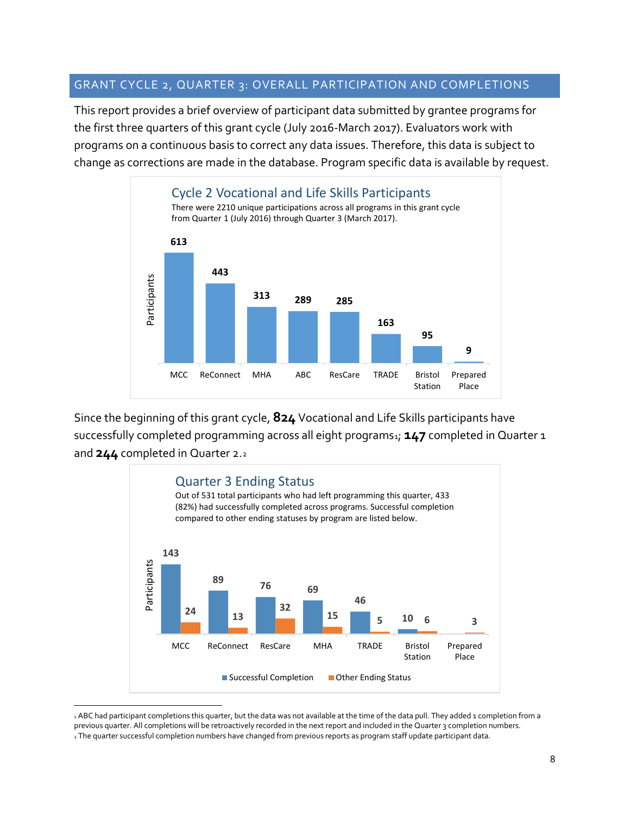#### GRANT CYCLE 2, QUARTER 3: OVERALL PARTICIPATION AND COMPLETIONS

This report provides a brief overview of participant data submitted by grantee programs for the first three quarters of this grant cycle (July 2016-March 2017). Evaluators work with programs on a continuous basis to correct any data issues. Therefore, this data is subject to change as corrections are made in the database. Program specific data is available by request.



Since the beginning of this grant cycle, **824** Vocational and Life Skills participants have successfully completed programming across all eight programs<sub>[1](#page-9-0)</sub>; **147** completed in Quarter 1 and **244** completed in Quarter 2.[2](#page-9-1)



<span id="page-9-1"></span><span id="page-9-0"></span><sup>1</sup> ABC had participant completions this quarter, but the data was not available at the time of the data pull. They added 1 completion from a previous quarter. All completions will be retroactively recorded in the next report and included in the Quarter 3 completion numbers. <sup>2</sup> The quarter successful completion numbers have changed from previous reports as program staff update participant data.

 $\overline{a}$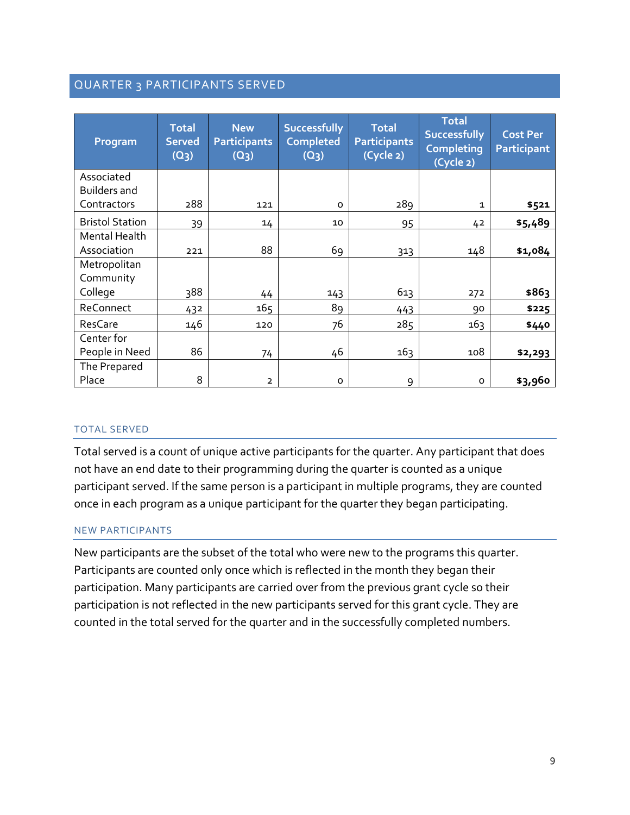# QUARTER 3 PARTICIPANTS SERVED

| Program                           | <b>Total</b><br><b>Served</b><br>$(Q_3)$ | <b>New</b><br><b>Participants</b><br>(Q <sub>3</sub> ) | <b>Successfully</b><br><b>Completed</b><br>$(Q_3)$ | <b>Total</b><br><b>Participants</b><br>(Cycle 2) | <b>Total</b><br><b>Successfully</b><br><b>Completing</b><br>(Cycle 2) | <b>Cost Per</b><br><b>Participant</b> |
|-----------------------------------|------------------------------------------|--------------------------------------------------------|----------------------------------------------------|--------------------------------------------------|-----------------------------------------------------------------------|---------------------------------------|
| Associated<br><b>Builders and</b> |                                          |                                                        |                                                    |                                                  |                                                                       |                                       |
| Contractors                       | 288                                      | 121                                                    | $\Omega$                                           | 289                                              | $\mathbf{1}$                                                          | \$521                                 |
| <b>Bristol Station</b>            | 39                                       | 14                                                     | 10                                                 | 95                                               | 42                                                                    | \$5,489                               |
| Mental Health<br>Association      | 221                                      | 88                                                     | 69                                                 | 313                                              | 148                                                                   | \$1,084                               |
| Metropolitan<br>Community         |                                          |                                                        |                                                    |                                                  |                                                                       |                                       |
| College                           | 388                                      | 44                                                     | 143                                                | 613                                              | 272                                                                   | \$863                                 |
| ReConnect                         | 432                                      | 165                                                    | 89                                                 | 443                                              | 90                                                                    | \$225                                 |
| ResCare                           | 146                                      | 120                                                    | 76                                                 | 285                                              | 16 <sub>3</sub>                                                       | \$440                                 |
| Center for                        |                                          |                                                        |                                                    |                                                  |                                                                       |                                       |
| People in Need                    | 86                                       | 74                                                     | 46                                                 | 163                                              | 108                                                                   | \$2,293                               |
| The Prepared                      |                                          |                                                        |                                                    |                                                  |                                                                       |                                       |
| Place                             | 8                                        | $\overline{2}$                                         | O                                                  | 9                                                | $\mathsf{o}$                                                          | \$3,960                               |

#### TOTAL SERVED

Total served is a count of unique active participants for the quarter. Any participant that does not have an end date to their programming during the quarter is counted as a unique participant served. If the same person is a participant in multiple programs, they are counted once in each program as a unique participant for the quarter they began participating.

#### NEW PARTICIPANTS

New participants are the subset of the total who were new to the programs this quarter. Participants are counted only once which is reflected in the month they began their participation. Many participants are carried over from the previous grant cycle so their participation is not reflected in the new participants served for this grant cycle. They are counted in the total served for the quarter and in the successfully completed numbers.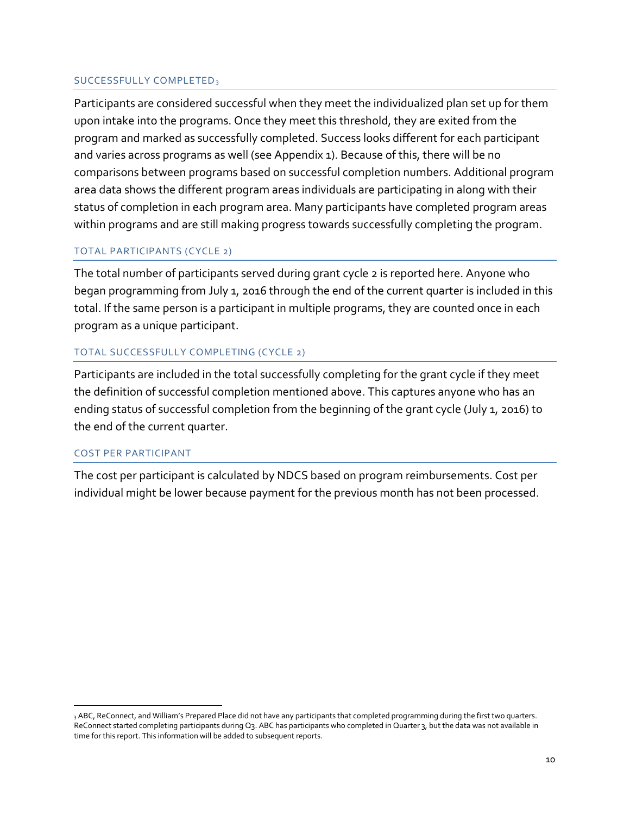#### SUCCESSFULLY COMPLETED[3](#page-11-0)

Participants are considered successful when they meet the individualized plan set up for them upon intake into the programs. Once they meet this threshold, they are exited from the program and marked as successfully completed. Success looks different for each participant and varies across programs as well (see Appendix 1). Because of this, there will be no comparisons between programs based on successful completion numbers. Additional program area data shows the different program areas individuals are participating in along with their status of completion in each program area. Many participants have completed program areas within programs and are still making progress towards successfully completing the program.

#### TOTAL PARTICIPANTS (CYCLE 2)

The total number of participants served during grant cycle 2 is reported here. Anyone who began programming from July 1, 2016 through the end of the current quarter is included in this total. If the same person is a participant in multiple programs, they are counted once in each program as a unique participant.

#### TOTAL SUCCESSFULLY COMPLETING (CYCLE 2)

Participants are included in the total successfully completing for the grant cycle if they meet the definition of successful completion mentioned above. This captures anyone who has an ending status of successful completion from the beginning of the grant cycle (July 1, 2016) to the end of the current quarter.

#### COST PER PARTICIPANT

 $\overline{a}$ 

The cost per participant is calculated by NDCS based on program reimbursements. Cost per individual might be lower because payment for the previous month has not been processed.

<span id="page-11-0"></span><sup>3</sup> ABC, ReConnect, and William's Prepared Place did not have any participants that completed programming during the first two quarters. ReConnect started completing participants during Q3. ABC has participants who completed in Quarter 3, but the data was not available in time for this report. This information will be added to subsequent reports.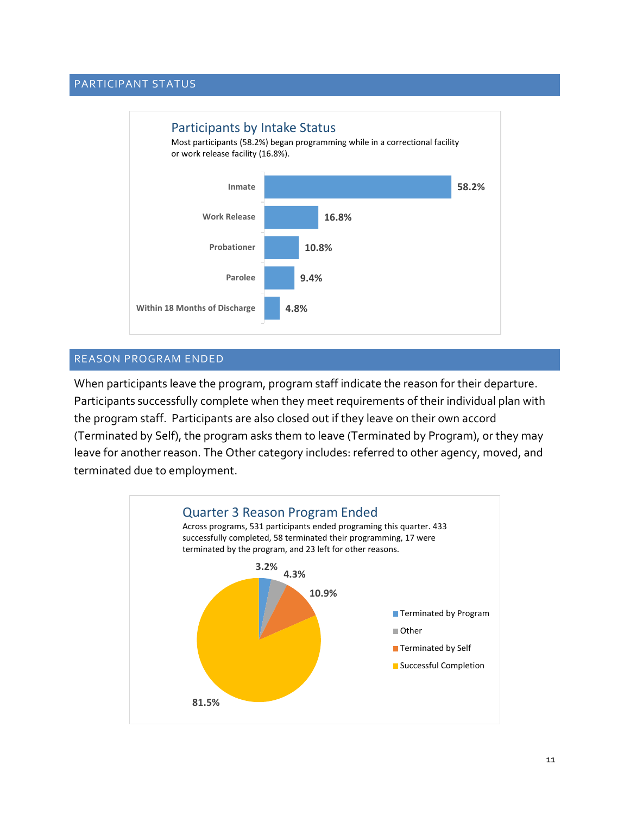#### PARTICIPANT STATUS



#### REASON PROGRAM ENDED

When participants leave the program, program staff indicate the reason for their departure. Participants successfully complete when they meet requirements of their individual plan with the program staff. Participants are also closed out if they leave on their own accord (Terminated by Self), the program asks them to leave (Terminated by Program), or they may leave for another reason. The Other category includes: referred to other agency, moved, and terminated due to employment.

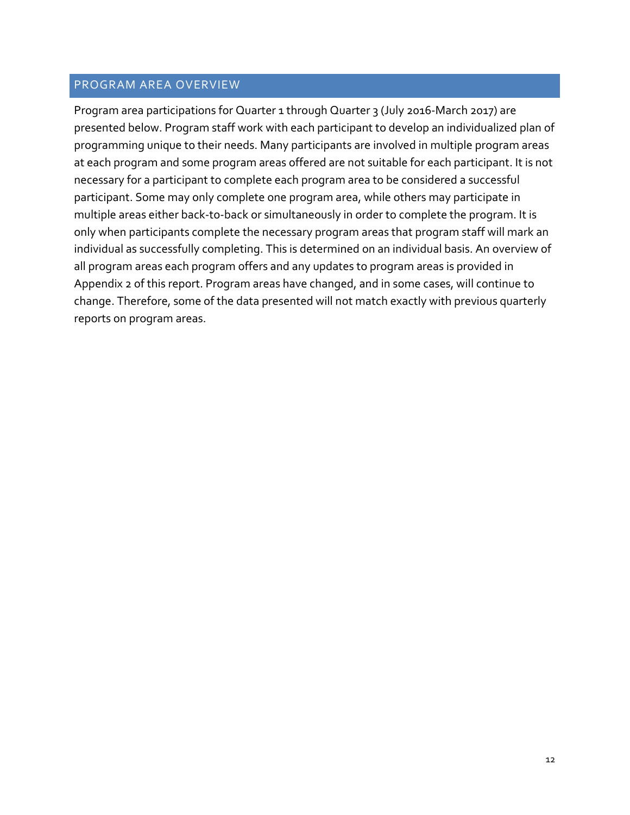#### PROGRAM AREA OVERVIEW

Program area participations for Quarter 1 through Quarter 3 (July 2016-March 2017) are presented below. Program staff work with each participant to develop an individualized plan of programming unique to their needs. Many participants are involved in multiple program areas at each program and some program areas offered are not suitable for each participant. It is not necessary for a participant to complete each program area to be considered a successful participant. Some may only complete one program area, while others may participate in multiple areas either back-to-back or simultaneously in order to complete the program. It is only when participants complete the necessary program areas that program staff will mark an individual as successfully completing. This is determined on an individual basis. An overview of all program areas each program offers and any updates to program areas is provided in Appendix 2 of this report. Program areas have changed, and in some cases, will continue to change. Therefore, some of the data presented will not match exactly with previous quarterly reports on program areas.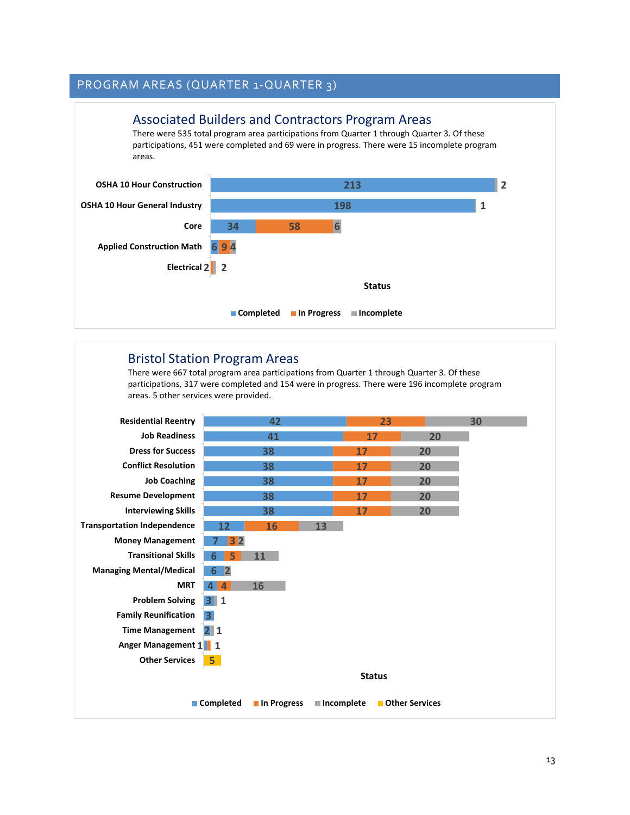#### **6 9 4 34 198 213 2 2 Electrical 58 6 1 2 Applied Construction Math Core OSHA 10 Hour General Industry OSHA 10 Hour Construction Status** Associated Builders and Contractors Program Areas There were 535 total program area participations from Quarter 1 through Quarter 3. Of these participations, 451 were completed and 69 were in progress. There were 15 incomplete program areas. **Completed In Progress Incomplete**

#### Bristol Station Program Areas

There were 667 total program area participations from Quarter 1 through Quarter 3. Of these participations, 317 were completed and 154 were in progress. There were 196 incomplete program areas. 5 other services were provided.

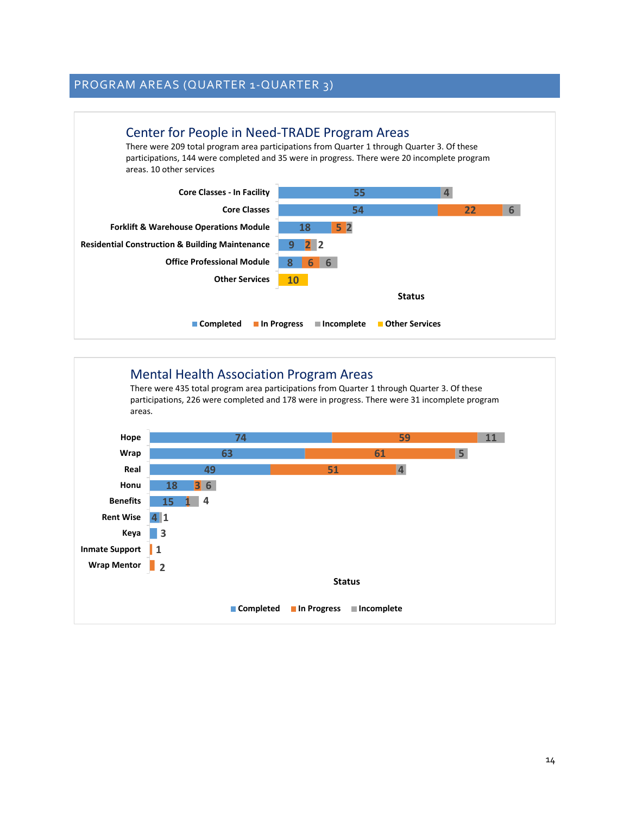

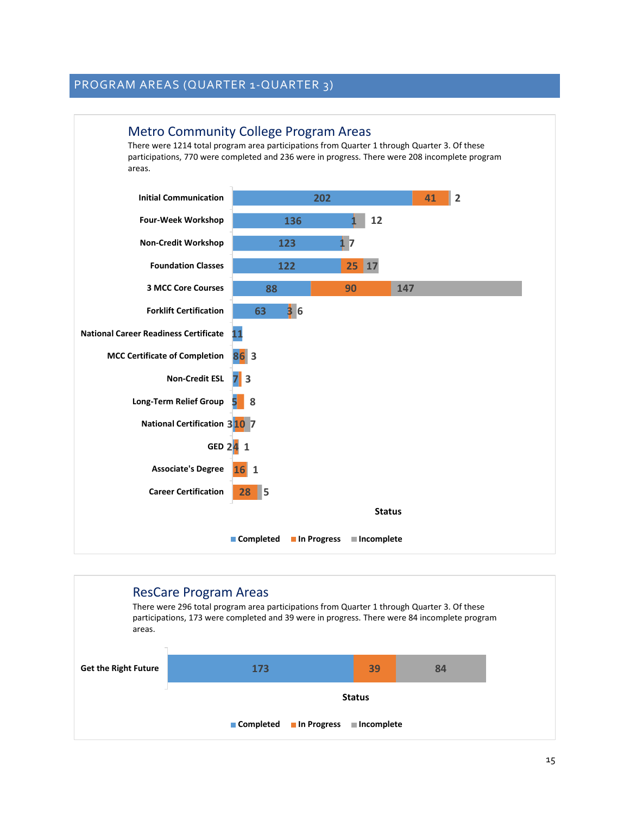

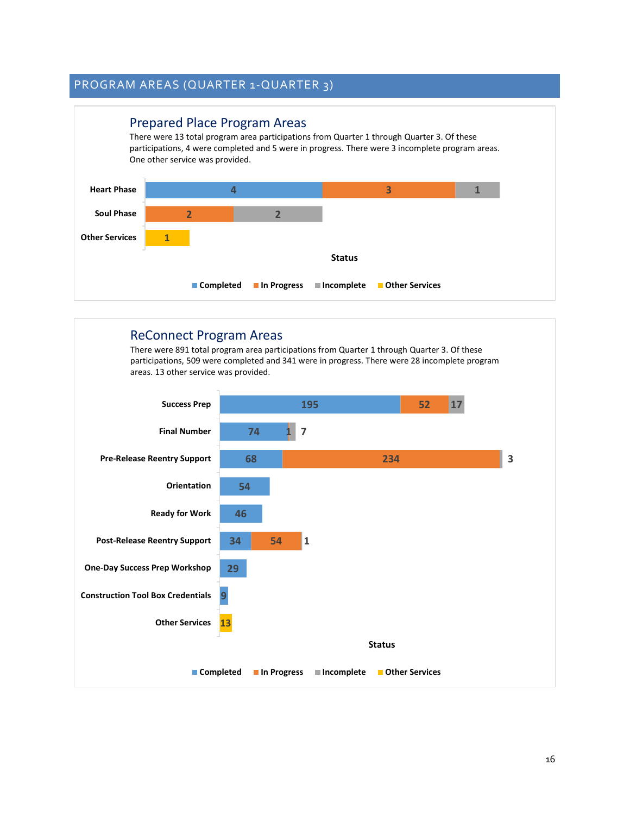

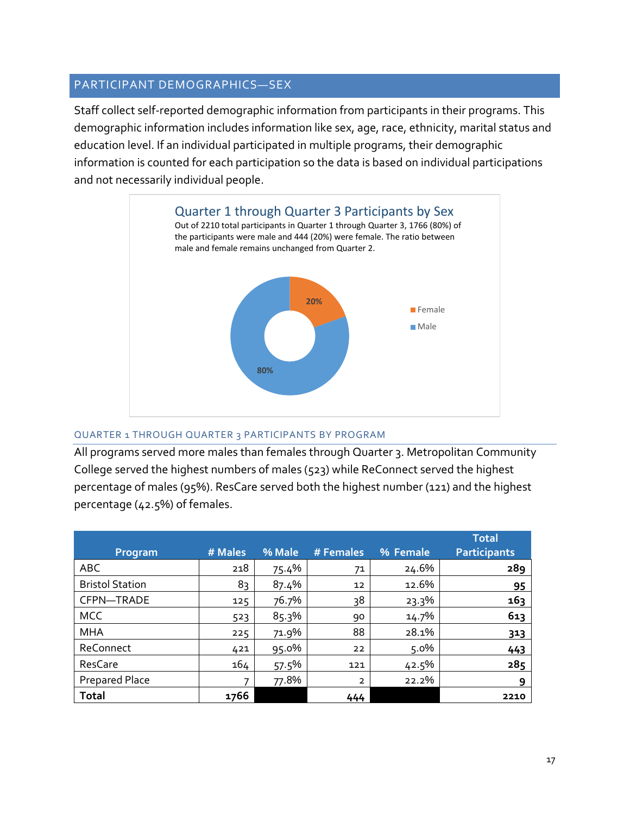# PARTICIPANT DEMOGRAPHICS—SEX

Staff collect self-reported demographic information from participants in their programs. This demographic information includes information like sex, age, race, ethnicity, marital status and education level. If an individual participated in multiple programs, their demographic information is counted for each participation so the data is based on individual participations and not necessarily individual people.



#### QUARTER 1 THROUGH QUARTER 3 PARTICIPANTS BY PROGRAM

All programs served more males than females through Quarter 3. Metropolitan Community College served the highest numbers of males (523) while ReConnect served the highest percentage of males (95%). ResCare served both the highest number (121) and the highest percentage (42.5%) of females.

|                        |         |        |                |          | <b>Total</b>        |
|------------------------|---------|--------|----------------|----------|---------------------|
| Program                | # Males | % Male | # Females      | % Female | <b>Participants</b> |
| <b>ABC</b>             | 218     | 75.4%  | 71             | 24.6%    | 289                 |
| <b>Bristol Station</b> | 83      | 87.4%  | 12             | 12.6%    | 95                  |
| CFPN-TRADE             | 125     | 76.7%  | 38             | 23.3%    | 163                 |
| <b>MCC</b>             | 523     | 85.3%  | 90             | 14.7%    | 613                 |
| <b>MHA</b>             | 225     | 71.9%  | 88             | 28.1%    | 313                 |
| ReConnect              | 421     | 95.0%  | 22             | 5.0%     | 443                 |
| ResCare                | 164     | 57.5%  | 121            | 42.5%    | 285                 |
| <b>Prepared Place</b>  | 7       | 77.8%  | $\overline{2}$ | 22.2%    | 9                   |
| <b>Total</b>           | 1766    |        | 444            |          | 2210                |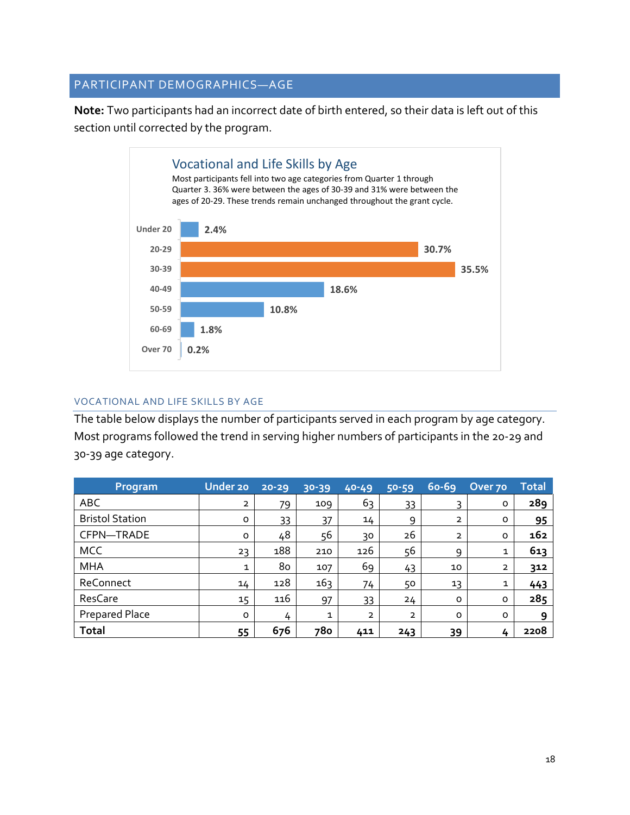# PARTICIPANT DEMOGRAPHICS—AGE

**Note:** Two participants had an incorrect date of birth entered, so their data is left out of this section until corrected by the program.



#### VOCATIONAL AND LIFE SKILLS BY AGE

The table below displays the number of participants served in each program by age category. Most programs followed the trend in serving higher numbers of participants in the 20-29 and 30-39 age category.

| Program                | <b>Under 20</b> | 20-29 | 30-39        | $40 - 49$      | 50-59          | $60 - 69$      | Over 70        | <b>Total</b> |
|------------------------|-----------------|-------|--------------|----------------|----------------|----------------|----------------|--------------|
| <b>ABC</b>             | $\overline{2}$  | 79    | 109          | 63             | 33             | 3              | $\circ$        | 289          |
| <b>Bristol Station</b> | $\circ$         | 33    | 37           | 14             | 9              | $\overline{2}$ | $\circ$        | 95           |
| CFPN-TRADE             | O               | 48    | 56           | 30             | 26             | $\overline{2}$ | $\circ$        | 162          |
| <b>MCC</b>             | 23              | 188   | 210          | 126            | 56             | 9              | $\mathbf{1}$   | 613          |
| <b>MHA</b>             | 1               | 80    | 107          | 69             | 43             | 10             | $\overline{2}$ | 312          |
| ReConnect              | 14              | 128   | 163          | 74             | 50             | 13             | 1              | 443          |
| ResCare                | 15              | 116   | 97           | 33             | 24             | $\circ$        | $\circ$        | 285          |
| Prepared Place         | $\circ$         | 4     | $\mathbf{1}$ | $\overline{2}$ | $\overline{2}$ | $\circ$        | O              | 9            |
| <b>Total</b>           | 55              | 676   | 780          | 411            | 243            | 39             | 4              | 2208         |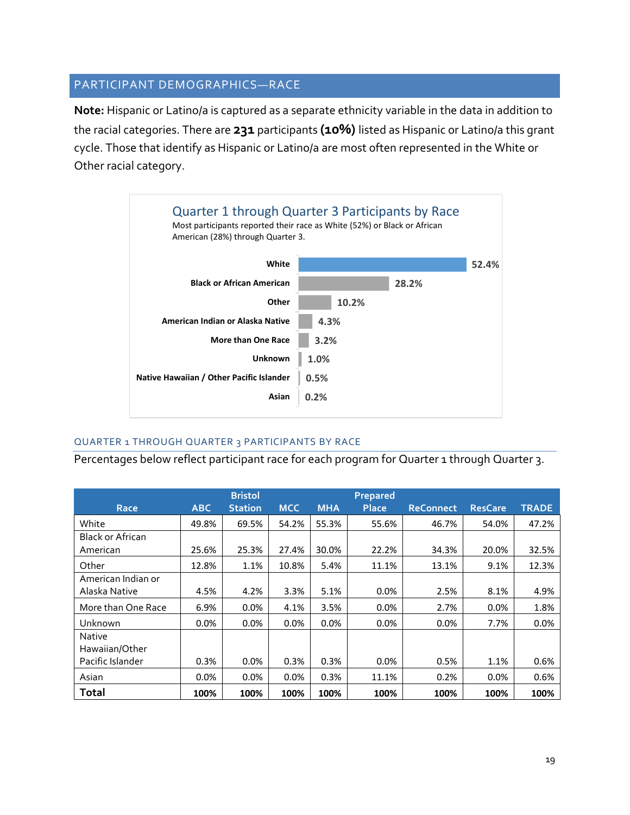## PARTICIPANT DEMOGRAPHICS—RACE

**Note:** Hispanic or Latino/a is captured as a separate ethnicity variable in the data in addition to the racial categories. There are **231** participants **(10%)** listed as Hispanic or Latino/a this grant cycle. Those that identify as Hispanic or Latino/a are most often represented in the White or Other racial category.



#### QUARTER 1 THROUGH QUARTER 3 PARTICIPANTS BY RACE

Percentages below reflect participant race for each program for Quarter 1 through Quarter 3.

|                    |            | <b>Bristol</b> |            | Prepared   |              |                  |                |              |
|--------------------|------------|----------------|------------|------------|--------------|------------------|----------------|--------------|
| Race               | <b>ABC</b> | <b>Station</b> | <b>MCC</b> | <b>MHA</b> | <b>Place</b> | <b>ReConnect</b> | <b>ResCare</b> | <b>TRADE</b> |
| White              | 49.8%      | 69.5%          | 54.2%      | 55.3%      | 55.6%        | 46.7%            | 54.0%          | 47.2%        |
| Black or African   |            |                |            |            |              |                  |                |              |
| American           | 25.6%      | 25.3%          | 27.4%      | 30.0%      | 22.2%        | 34.3%            | 20.0%          | 32.5%        |
| Other              | 12.8%      | 1.1%           | 10.8%      | 5.4%       | 11.1%        | 13.1%            | 9.1%           | 12.3%        |
| American Indian or |            |                |            |            |              |                  |                |              |
| Alaska Native      | 4.5%       | 4.2%           | 3.3%       | 5.1%       | 0.0%         | 2.5%             | 8.1%           | 4.9%         |
| More than One Race | 6.9%       | 0.0%           | 4.1%       | 3.5%       | $0.0\%$      | 2.7%             | 0.0%           | 1.8%         |
| Unknown            | 0.0%       | 0.0%           | 0.0%       | 0.0%       | $0.0\%$      | 0.0%             | 7.7%           | 0.0%         |
| <b>Native</b>      |            |                |            |            |              |                  |                |              |
| Hawaiian/Other     |            |                |            |            |              |                  |                |              |
| Pacific Islander   | 0.3%       | 0.0%           | 0.3%       | 0.3%       | 0.0%         | 0.5%             | 1.1%           | 0.6%         |
| Asian              | 0.0%       | 0.0%           | 0.0%       | 0.3%       | 11.1%        | 0.2%             | 0.0%           | 0.6%         |
| <b>Total</b>       | 100%       | 100%           | 100%       | 100%       | 100%         | 100%             | 100%           | 100%         |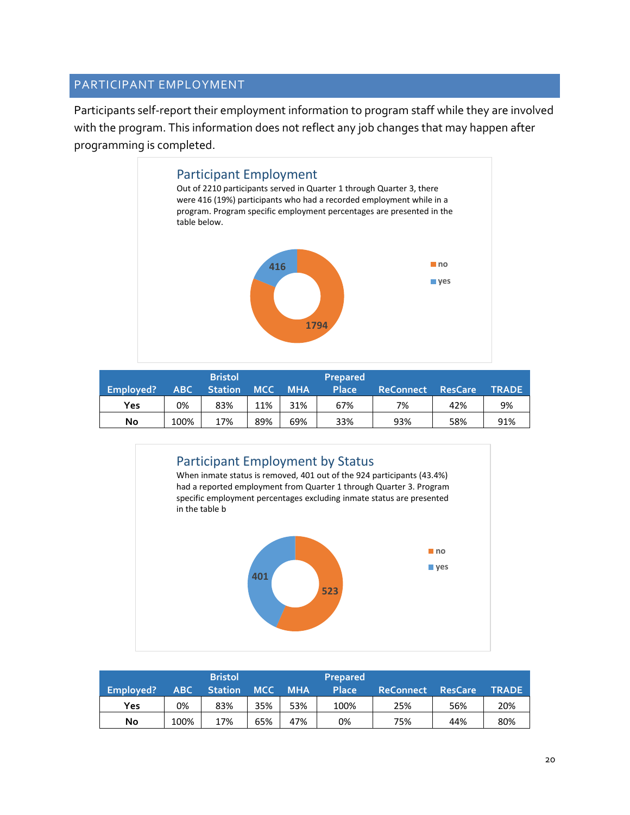#### PARTICIPANT EMPLOYMENT

Participants self-report their employment information to program staff while they are involved with the program. This information does not reflect any job changes that may happen after programming is completed.



|           | Bristol |                |            |            | <b>Prepared</b> |                  |                |              |
|-----------|---------|----------------|------------|------------|-----------------|------------------|----------------|--------------|
| Employed? | ABC     | <b>Station</b> | <b>MCC</b> | <b>MHA</b> | <b>Place</b>    | <b>ReConnect</b> | <b>ResCare</b> | <b>TRADE</b> |
| Yes       | 0%      | 83%            | 11%        | 31%        | 67%             | 7%               | 42%            | 9%           |
| No        | 100%    | 17%            | 89%        | 69%        | 33%             | 93%              | 58%            | 91%          |



| Employed? | ABC  | <b>Bristol</b><br><b>Station</b> | <b>MCC</b> | <b>MHA</b> | <b>Prepared</b><br>Place | <b>ReConnect</b> | <b>ResCare</b> | TRADE |
|-----------|------|----------------------------------|------------|------------|--------------------------|------------------|----------------|-------|
| Yes       | 0%   | 83%                              | 35%        | 53%        | 100%                     | 25%              | 56%            | 20%   |
| No        | 100% | 17%                              | 65%        | 47%        | 0%                       | 75%              | 44%            | 80%   |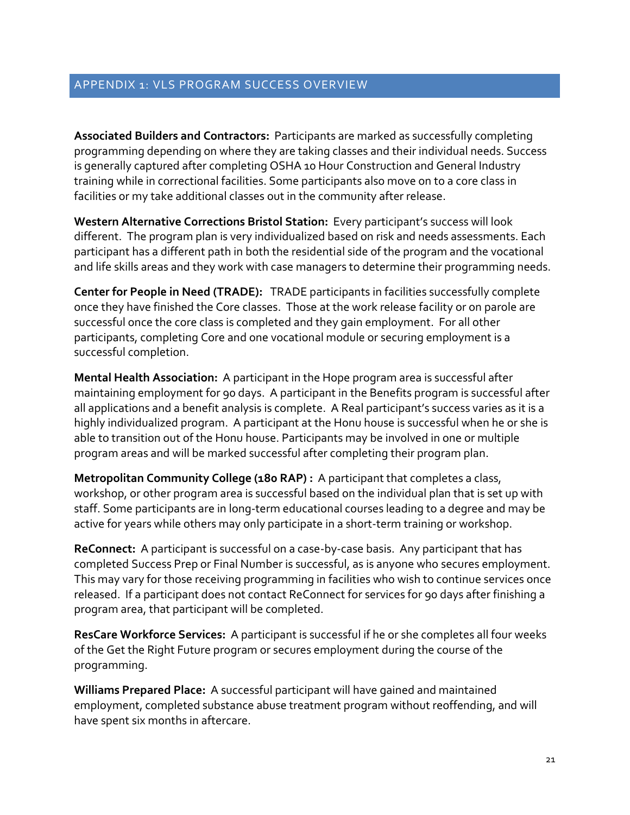## APPENDIX 1: VLS PROGRAM SUCCESS OVERVIEW

**Associated Builders and Contractors:** Participants are marked as successfully completing programming depending on where they are taking classes and their individual needs. Success is generally captured after completing OSHA 10 Hour Construction and General Industry training while in correctional facilities. Some participants also move on to a core class in facilities or my take additional classes out in the community after release.

**Western Alternative Corrections Bristol Station:** Every participant's success will look different. The program plan is very individualized based on risk and needs assessments. Each participant has a different path in both the residential side of the program and the vocational and life skills areas and they work with case managers to determine their programming needs.

**Center for People in Need (TRADE):** TRADE participants in facilities successfully complete once they have finished the Core classes. Those at the work release facility or on parole are successful once the core class is completed and they gain employment. For all other participants, completing Core and one vocational module or securing employment is a successful completion.

**Mental Health Association:** A participant in the Hope program area is successful after maintaining employment for 90 days. A participant in the Benefits program is successful after all applications and a benefit analysis is complete. A Real participant's success varies as it is a highly individualized program. A participant at the Honu house is successful when he or she is able to transition out of the Honu house. Participants may be involved in one or multiple program areas and will be marked successful after completing their program plan.

**Metropolitan Community College (180 RAP) :** A participant that completes a class, workshop, or other program area is successful based on the individual plan that is set up with staff. Some participants are in long-term educational courses leading to a degree and may be active for years while others may only participate in a short-term training or workshop.

**ReConnect:** A participant is successful on a case-by-case basis. Any participant that has completed Success Prep or Final Number is successful, as is anyone who secures employment. This may vary for those receiving programming in facilities who wish to continue services once released. If a participant does not contact ReConnect for services for 90 days after finishing a program area, that participant will be completed.

**ResCare Workforce Services:** A participant is successful if he or she completes all four weeks of the Get the Right Future program or secures employment during the course of the programming.

**Williams Prepared Place:** A successful participant will have gained and maintained employment, completed substance abuse treatment program without reoffending, and will have spent six months in aftercare.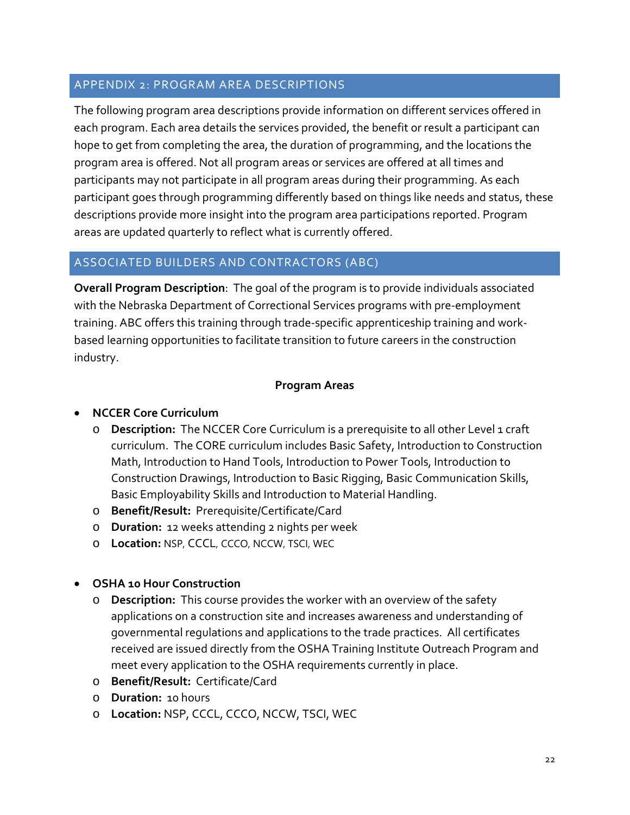# APPENDIX 2: PROGRAM AREA DESCRIPTIONS

The following program area descriptions provide information on different services offered in each program. Each area details the services provided, the benefit or result a participant can hope to get from completing the area, the duration of programming, and the locations the program area is offered. Not all program areas or services are offered at all times and participants may not participate in all program areas during their programming. As each participant goes through programming differently based on things like needs and status, these descriptions provide more insight into the program area participations reported. Program areas are updated quarterly to reflect what is currently offered.

# ASSOCIATED BUILDERS AND CONTRACTORS (ABC)

**Overall Program Description**: The goal of the program is to provide individuals associated with the Nebraska Department of Correctional Services programs with pre-employment training. ABC offers this training through trade-specific apprenticeship training and workbased learning opportunities to facilitate transition to future careers in the construction industry.

# **Program Areas**

# • **NCCER Core Curriculum**

- o **Description:** The NCCER Core Curriculum is a prerequisite to all other Level 1 craft curriculum. The CORE curriculum includes Basic Safety, Introduction to Construction Math, Introduction to Hand Tools, Introduction to Power Tools, Introduction to Construction Drawings, Introduction to Basic Rigging, Basic Communication Skills, Basic Employability Skills and Introduction to Material Handling.
- o **Benefit/Result:** Prerequisite/Certificate/Card
- o **Duration:** 12 weeks attending 2 nights per week
- o **Location:** NSP, CCCL, CCCO, NCCW, TSCI, WEC

# • **OSHA 10 Hour Construction**

- o **Description:** This course provides the worker with an overview of the safety applications on a construction site and increases awareness and understanding of governmental regulations and applications to the trade practices. All certificates received are issued directly from the OSHA Training Institute Outreach Program and meet every application to the OSHA requirements currently in place.
- o **Benefit/Result:** Certificate/Card
- o **Duration:** 10 hours
- o **Location:** NSP, CCCL, CCCO, NCCW, TSCI, WEC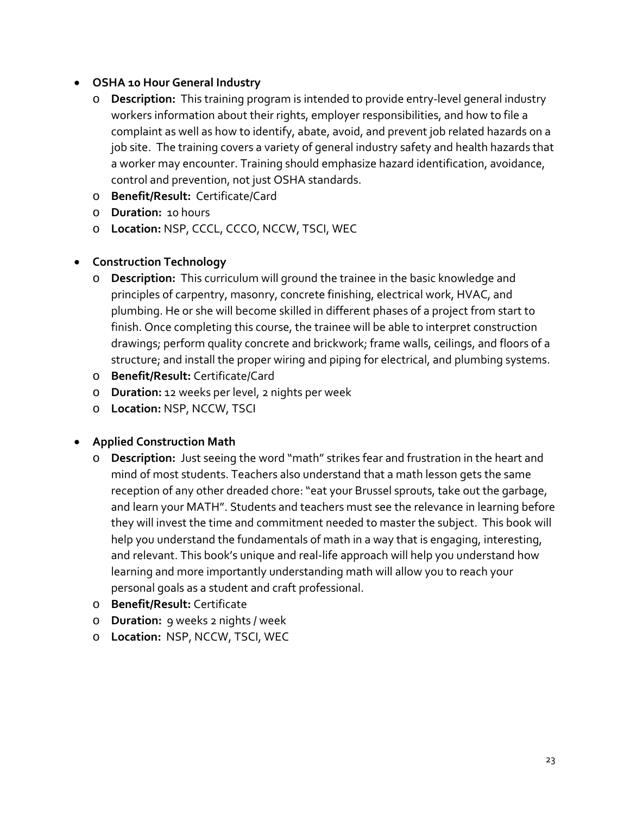# • **OSHA 10 Hour General Industry**

- o **Description:** This training program is intended to provide entry-level general industry workers information about their rights, employer responsibilities, and how to file a complaint as well as how to identify, abate, avoid, and prevent job related hazards on a job site. The training covers a variety of general industry safety and health hazards that a worker may encounter. Training should emphasize hazard identification, avoidance, control and prevention, not just OSHA standards.
- o **Benefit/Result:** Certificate/Card
- o **Duration:** 10 hours
- o **Location:** NSP, CCCL, CCCO, NCCW, TSCI, WEC

# • **Construction Technology**

- o **Description:** This curriculum will ground the trainee in the basic knowledge and principles of carpentry, masonry, concrete finishing, electrical work, HVAC, and plumbing. He or she will become skilled in different phases of a project from start to finish. Once completing this course, the trainee will be able to interpret construction drawings; perform quality concrete and brickwork; frame walls, ceilings, and floors of a structure; and install the proper wiring and piping for electrical, and plumbing systems.
- o **Benefit/Result:** Certificate/Card
- o **Duration:** 12 weeks per level, 2 nights per week
- o **Location:** NSP, NCCW, TSCI

# • **Applied Construction Math**

- o **Description:** Just seeing the word "math" strikes fear and frustration in the heart and mind of most students. Teachers also understand that a math lesson gets the same reception of any other dreaded chore: "eat your Brussel sprouts, take out the garbage, and learn your MATH". Students and teachers must see the relevance in learning before they will invest the time and commitment needed to master the subject. This book will help you understand the fundamentals of math in a way that is engaging, interesting, and relevant. This book's unique and real-life approach will help you understand how learning and more importantly understanding math will allow you to reach your personal goals as a student and craft professional.
- o **Benefit/Result:** Certificate
- o **Duration:** 9 weeks 2 nights / week
- o **Location:** NSP, NCCW, TSCI, WEC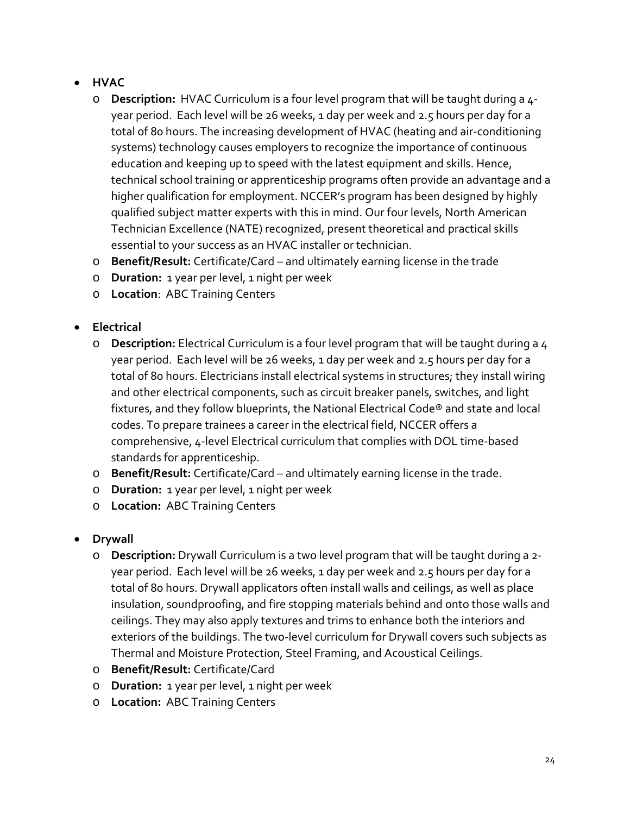- **HVAC**
	- o **Description:** HVAC Curriculum is a four level program that will be taught during a 4 year period. Each level will be 26 weeks, 1 day per week and 2.5 hours per day for a total of 80 hours. The increasing development of HVAC (heating and air-conditioning systems) technology causes employers to recognize the importance of continuous education and keeping up to speed with the latest equipment and skills. Hence, technical school training or apprenticeship programs often provide an advantage and a higher qualification for employment. NCCER's program has been designed by highly qualified subject matter experts with this in mind. Our four levels, North American Technician Excellence (NATE) recognized, present theoretical and practical skills essential to your success as an HVAC installer or technician.
	- o **Benefit/Result:** Certificate/Card and ultimately earning license in the trade
	- o **Duration:** 1 year per level, 1 night per week
	- o **Location**: ABC Training Centers
- **Electrical**
	- o **Description:** Electrical Curriculum is a four level program that will be taught during a 4 year period. Each level will be 26 weeks, 1 day per week and 2.5 hours per day for a total of 80 hours. Electricians install electrical systems in structures; they install wiring and other electrical components, such as circuit breaker panels, switches, and light fixtures, and they follow blueprints, the National Electrical Code® and state and local codes. To prepare trainees a career in the electrical field, NCCER offers a comprehensive, 4-level Electrical curriculum that complies with DOL time-based standards for apprenticeship.
	- o **Benefit/Result:** Certificate/Card and ultimately earning license in the trade.
	- o **Duration:** 1 year per level, 1 night per week
	- o **Location:** ABC Training Centers
- **Drywall**
	- o **Description:** Drywall Curriculum is a two level program that will be taught during a 2 year period. Each level will be 26 weeks, 1 day per week and 2.5 hours per day for a total of 80 hours. Drywall applicators often install walls and ceilings, as well as place insulation, soundproofing, and fire stopping materials behind and onto those walls and ceilings. They may also apply textures and trims to enhance both the interiors and exteriors of the buildings. The two-level curriculum for Drywall covers such subjects as Thermal and Moisture Protection, Steel Framing, and Acoustical Ceilings.
	- o **Benefit/Result:** Certificate/Card
	- o **Duration:** 1 year per level, 1 night per week
	- o **Location:** ABC Training Centers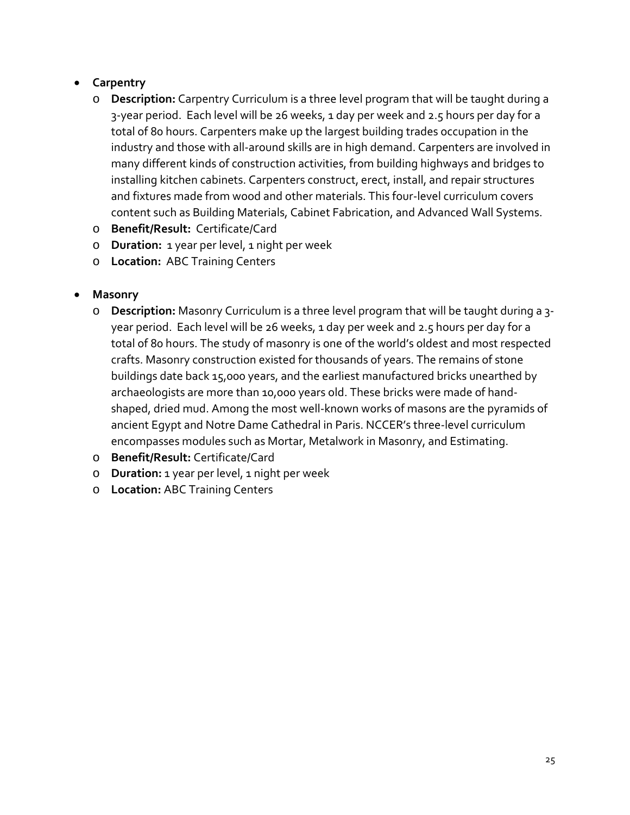# • **Carpentry**

- o **Description:** Carpentry Curriculum is a three level program that will be taught during a 3-year period. Each level will be 26 weeks, 1 day per week and 2.5 hours per day for a total of 80 hours. Carpenters make up the largest building trades occupation in the industry and those with all-around skills are in high demand. Carpenters are involved in many different kinds of construction activities, from building highways and bridges to installing kitchen cabinets. Carpenters construct, erect, install, and repair structures and fixtures made from wood and other materials. This four-level curriculum covers content such as Building Materials, Cabinet Fabrication, and Advanced Wall Systems.
- o **Benefit/Result:** Certificate/Card
- o **Duration:** 1 year per level, 1 night per week
- o **Location:** ABC Training Centers

# • **Masonry**

- o **Description:** Masonry Curriculum is a three level program that will be taught during a 3 year period. Each level will be 26 weeks, 1 day per week and 2.5 hours per day for a total of 80 hours. The study of masonry is one of the world's oldest and most respected crafts. Masonry construction existed for thousands of years. The remains of stone buildings date back 15,000 years, and the earliest manufactured bricks unearthed by archaeologists are more than 10,000 years old. These bricks were made of handshaped, dried mud. Among the most well-known works of masons are the pyramids of ancient Egypt and Notre Dame Cathedral in Paris. NCCER's three-level curriculum encompasses modules such as Mortar, Metalwork in Masonry, and Estimating.
- o **Benefit/Result:** Certificate/Card
- o **Duration:** 1 year per level, 1 night per week
- o **Location:** ABC Training Centers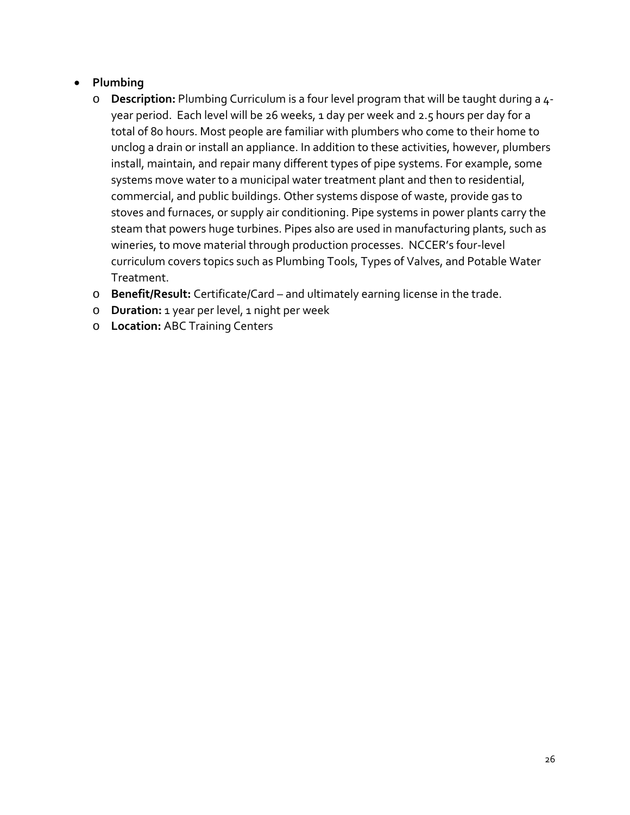# • **Plumbing**

- o **Description:** Plumbing Curriculum is a four level program that will be taught during a 4 year period. Each level will be 26 weeks, 1 day per week and 2.5 hours per day for a total of 80 hours. Most people are familiar with plumbers who come to their home to unclog a drain or install an appliance. In addition to these activities, however, plumbers install, maintain, and repair many different types of pipe systems. For example, some systems move water to a municipal water treatment plant and then to residential, commercial, and public buildings. Other systems dispose of waste, provide gas to stoves and furnaces, or supply air conditioning. Pipe systems in power plants carry the steam that powers huge turbines. Pipes also are used in manufacturing plants, such as wineries, to move material through production processes. NCCER's four-level curriculum covers topics such as Plumbing Tools, Types of Valves, and Potable Water Treatment.
- o **Benefit/Result:** Certificate/Card and ultimately earning license in the trade.
- o **Duration:** 1 year per level, 1 night per week
- o **Location:** ABC Training Centers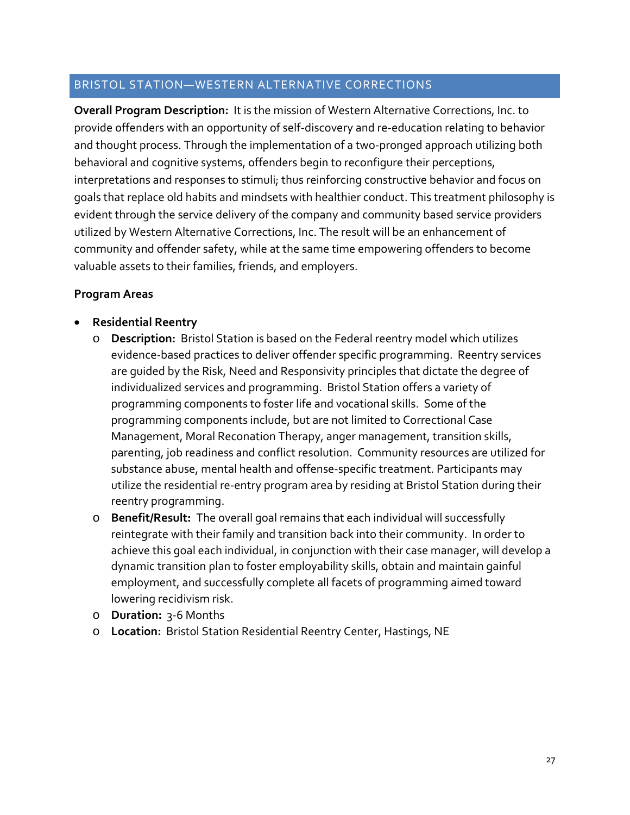#### BRISTOL STATION—WESTERN ALTERNATIVE CORRECTIONS

**Overall Program Description:** It is the mission of Western Alternative Corrections, Inc. to provide offenders with an opportunity of self-discovery and re-education relating to behavior and thought process. Through the implementation of a two-pronged approach utilizing both behavioral and cognitive systems, offenders begin to reconfigure their perceptions, interpretations and responses to stimuli; thus reinforcing constructive behavior and focus on goals that replace old habits and mindsets with healthier conduct. This treatment philosophy is evident through the service delivery of the company and community based service providers utilized by Western Alternative Corrections, Inc. The result will be an enhancement of community and offender safety, while at the same time empowering offenders to become valuable assets to their families, friends, and employers.

#### **Program Areas**

- **Residential Reentry** 
	- o **Description:** Bristol Station is based on the Federal reentry model which utilizes evidence-based practices to deliver offender specific programming. Reentry services are guided by the Risk, Need and Responsivity principles that dictate the degree of individualized services and programming. Bristol Station offers a variety of programming components to foster life and vocational skills. Some of the programming components include, but are not limited to Correctional Case Management, Moral Reconation Therapy, anger management, transition skills, parenting, job readiness and conflict resolution. Community resources are utilized for substance abuse, mental health and offense-specific treatment. Participants may utilize the residential re-entry program area by residing at Bristol Station during their reentry programming.
	- o **Benefit/Result:** The overall goal remains that each individual will successfully reintegrate with their family and transition back into their community. In order to achieve this goal each individual, in conjunction with their case manager, will develop a dynamic transition plan to foster employability skills, obtain and maintain gainful employment, and successfully complete all facets of programming aimed toward lowering recidivism risk.
	- o **Duration:** 3-6 Months
	- o **Location:** Bristol Station Residential Reentry Center, Hastings, NE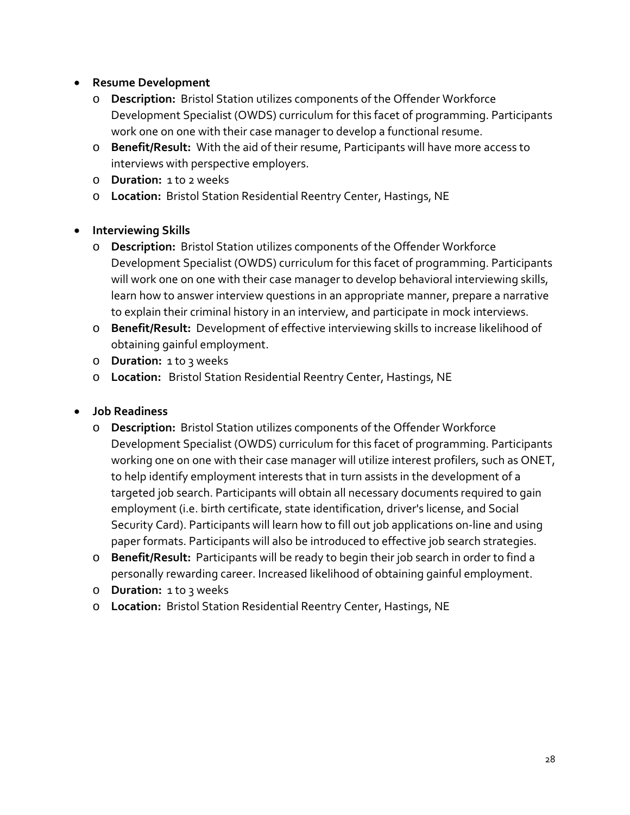# • **Resume Development**

- o **Description:** Bristol Station utilizes components of the Offender Workforce Development Specialist (OWDS) curriculum for this facet of programming. Participants work one on one with their case manager to develop a functional resume.
- o **Benefit/Result:** With the aid of their resume, Participants will have more access to interviews with perspective employers.
- o **Duration:** 1 to 2 weeks
- o **Location:** Bristol Station Residential Reentry Center, Hastings, NE

# • **Interviewing Skills**

- o **Description:** Bristol Station utilizes components of the Offender Workforce Development Specialist (OWDS) curriculum for this facet of programming. Participants will work one on one with their case manager to develop behavioral interviewing skills, learn how to answer interview questions in an appropriate manner, prepare a narrative to explain their criminal history in an interview, and participate in mock interviews.
- o **Benefit/Result:** Development of effective interviewing skills to increase likelihood of obtaining gainful employment.
- o **Duration:** 1 to 3 weeks
- o **Location:** Bristol Station Residential Reentry Center, Hastings, NE

## • **Job Readiness**

- o **Description:** Bristol Station utilizes components of the Offender Workforce Development Specialist (OWDS) curriculum for this facet of programming. Participants working one on one with their case manager will utilize interest profilers, such as ONET, to help identify employment interests that in turn assists in the development of a targeted job search. Participants will obtain all necessary documents required to gain employment (i.e. birth certificate, state identification, driver's license, and Social Security Card). Participants will learn how to fill out job applications on-line and using paper formats. Participants will also be introduced to effective job search strategies.
- o **Benefit/Result:** Participants will be ready to begin their job search in order to find a personally rewarding career. Increased likelihood of obtaining gainful employment.
- o **Duration:** 1 to 3 weeks
- o **Location:** Bristol Station Residential Reentry Center, Hastings, NE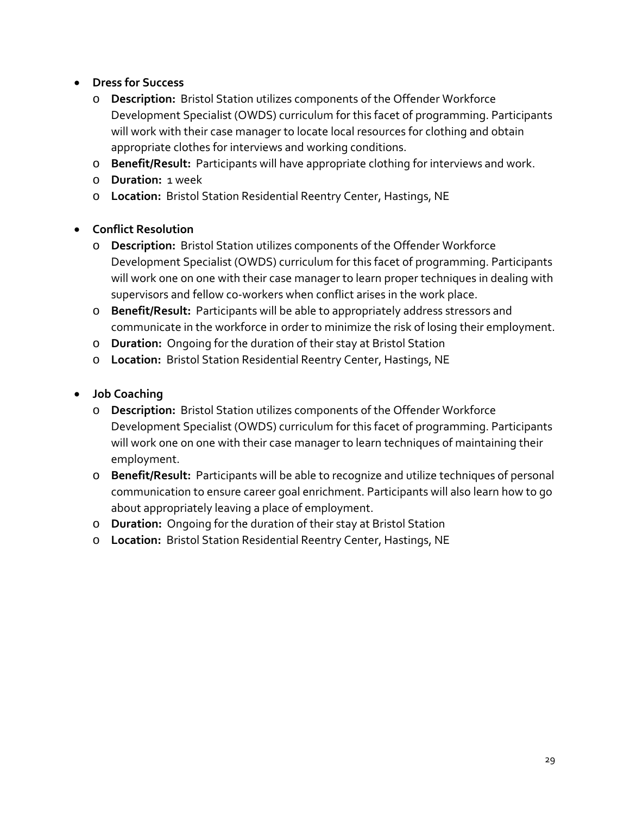# • **Dress for Success**

- o **Description:** Bristol Station utilizes components of the Offender Workforce Development Specialist (OWDS) curriculum for this facet of programming. Participants will work with their case manager to locate local resources for clothing and obtain appropriate clothes for interviews and working conditions.
- o **Benefit/Result:** Participants will have appropriate clothing for interviews and work.
- o **Duration:** 1 week
- o **Location:** Bristol Station Residential Reentry Center, Hastings, NE

# • **Conflict Resolution**

- o **Description:** Bristol Station utilizes components of the Offender Workforce Development Specialist (OWDS) curriculum for this facet of programming. Participants will work one on one with their case manager to learn proper techniques in dealing with supervisors and fellow co-workers when conflict arises in the work place.
- o **Benefit/Result:** Participants will be able to appropriately address stressors and communicate in the workforce in order to minimize the risk of losing their employment.
- o **Duration:** Ongoing for the duration of their stay at Bristol Station
- o **Location:** Bristol Station Residential Reentry Center, Hastings, NE
- **Job Coaching**
	- o **Description:** Bristol Station utilizes components of the Offender Workforce Development Specialist (OWDS) curriculum for this facet of programming. Participants will work one on one with their case manager to learn techniques of maintaining their employment.
	- o **Benefit/Result:** Participants will be able to recognize and utilize techniques of personal communication to ensure career goal enrichment. Participants will also learn how to go about appropriately leaving a place of employment.
	- o **Duration:** Ongoing for the duration of their stay at Bristol Station
	- o **Location:** Bristol Station Residential Reentry Center, Hastings, NE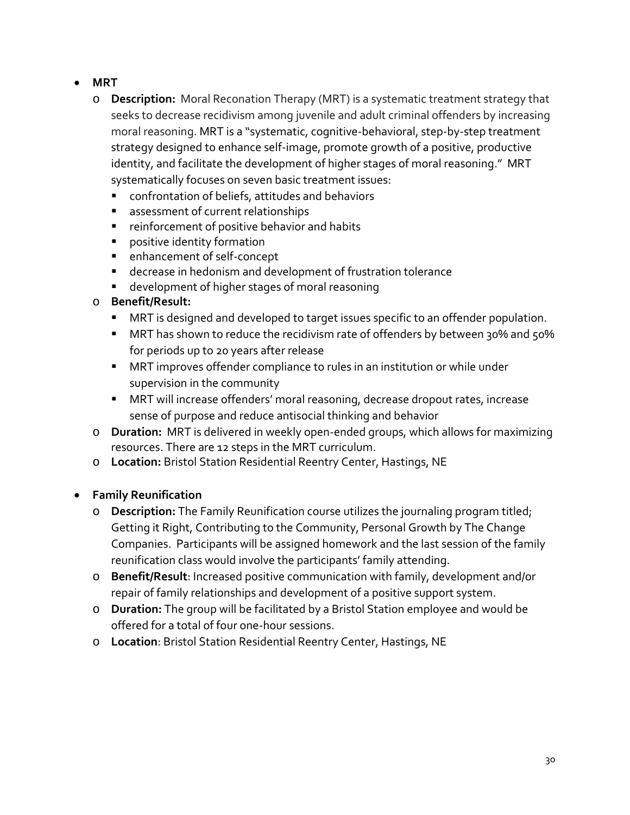- **MRT**
	- o **Description:** Moral Reconation Therapy (MRT) is a systematic treatment strategy that seeks to decrease recidivism among juvenile and adult criminal offenders by increasing moral reasoning. MRT is a "systematic, cognitive-behavioral, step-by-step treatment strategy designed to enhance self-image, promote growth of a positive, productive identity, and facilitate the development of higher stages of moral reasoning." MRT systematically focuses on seven basic treatment issues:
		- confrontation of beliefs, attitudes and behaviors
		- **assessment of current relationships**
		- **F** reinforcement of positive behavior and habits
		- **Parthchalle in the identity formation**
		- enhancement of self-concept
		- decrease in hedonism and development of frustration tolerance
		- **development of higher stages of moral reasoning**
	- o **Benefit/Result:**
		- **MRT** is designed and developed to target issues specific to an offender population.
		- MRT has shown to reduce the recidivism rate of offenders by between 30% and 50% for periods up to 20 years after release
		- **MRT** improves offender compliance to rules in an institution or while under supervision in the community
		- MRT will increase offenders' moral reasoning, decrease dropout rates, increase sense of purpose and reduce antisocial thinking and behavior
	- o **Duration:** MRT is delivered in weekly open-ended groups, which allows for maximizing resources. There are 12 steps in the MRT curriculum.
	- o **Location:** Bristol Station Residential Reentry Center, Hastings, NE

# • **Family Reunification**

- o **Description:** The Family Reunification course utilizes the journaling program titled; Getting it Right, Contributing to the Community, Personal Growth by The Change Companies. Participants will be assigned homework and the last session of the family reunification class would involve the participants' family attending.
- o **Benefit/Result**: Increased positive communication with family, development and/or repair of family relationships and development of a positive support system.
- o **Duration:** The group will be facilitated by a Bristol Station employee and would be offered for a total of four one-hour sessions.
- o **Location**: Bristol Station Residential Reentry Center, Hastings, NE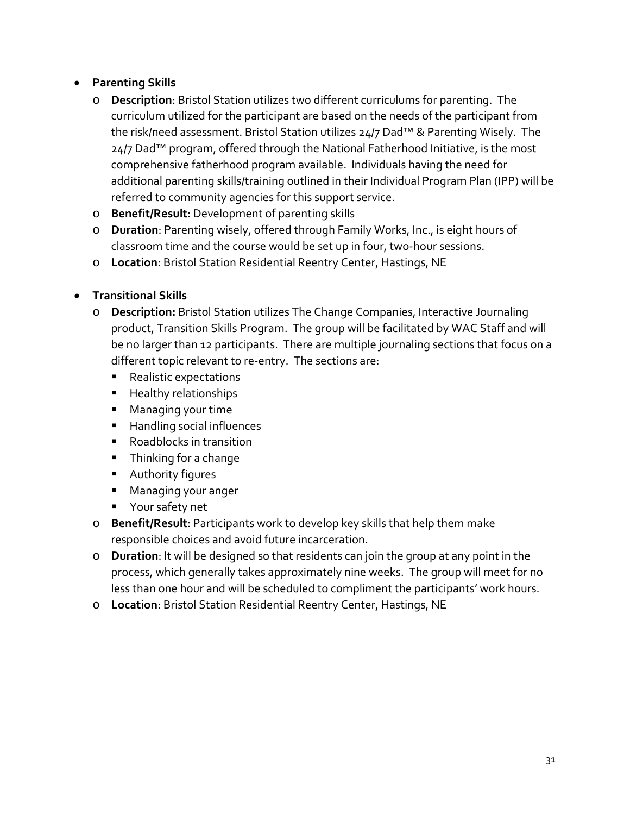# • **Parenting Skills**

- o **Description**: Bristol Station utilizes two different curriculums for parenting. The curriculum utilized for the participant are based on the needs of the participant from the risk/need assessment. Bristol Station utilizes 24/7 Dad™ & Parenting Wisely. The 24/7 Dad<sup>™</sup> program, offered through the National Fatherhood Initiative, is the most comprehensive fatherhood program available. Individuals having the need for additional parenting skills/training outlined in their Individual Program Plan (IPP) will be referred to community agencies for this support service.
- o **Benefit/Result**: Development of parenting skills
- o **Duration**: Parenting wisely, offered through Family Works, Inc., is eight hours of classroom time and the course would be set up in four, two-hour sessions.
- o **Location**: Bristol Station Residential Reentry Center, Hastings, NE

# • **Transitional Skills**

- o **Description:** Bristol Station utilizes The Change Companies, Interactive Journaling product, Transition Skills Program. The group will be facilitated by WAC Staff and will be no larger than 12 participants. There are multiple journaling sections that focus on a different topic relevant to re-entry. The sections are:
	- **Realistic expectations**
	- **Healthy relationships**
	- **Managing your time**
	- **Handling social influences**
	- Roadblocks in transition
	- **Thinking for a change**
	- **Authority figures**
	- **Managing your anger**
	- **•** Your safety net
- o **Benefit/Result**: Participants work to develop key skills that help them make responsible choices and avoid future incarceration.
- o **Duration**: It will be designed so that residents can join the group at any point in the process, which generally takes approximately nine weeks. The group will meet for no less than one hour and will be scheduled to compliment the participants' work hours.
- o **Location**: Bristol Station Residential Reentry Center, Hastings, NE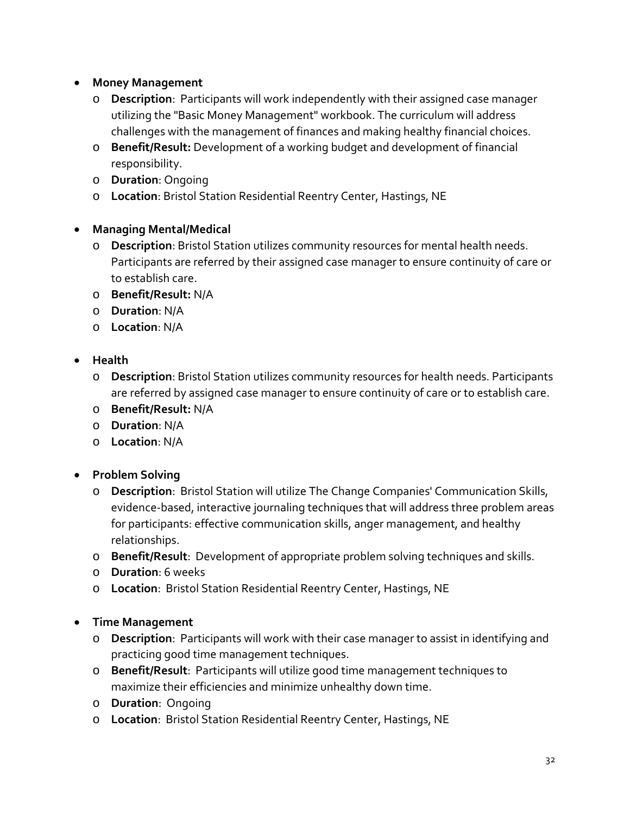- **Money Management**
	- o **Description**: Participants will work independently with their assigned case manager utilizing the "Basic Money Management" workbook. The curriculum will address challenges with the management of finances and making healthy financial choices.
	- o **Benefit/Result:** Development of a working budget and development of financial responsibility.
	- o **Duration**: Ongoing
	- o **Location**: Bristol Station Residential Reentry Center, Hastings, NE
- **Managing Mental/Medical** 
	- o **Description**: Bristol Station utilizes community resources for mental health needs. Participants are referred by their assigned case manager to ensure continuity of care or to establish care.
	- o **Benefit/Result:** N/A
	- o **Duration**: N/A
	- o **Location**: N/A
- **Health**
	- o **Description**: Bristol Station utilizes community resources for health needs. Participants are referred by assigned case manager to ensure continuity of care or to establish care.
	- o **Benefit/Result:** N/A
	- o **Duration**: N/A
	- o **Location**: N/A
- **Problem Solving**
	- o **Description**: Bristol Station will utilize The Change Companies' Communication Skills, evidence-based, interactive journaling techniques that will address three problem areas for participants: effective communication skills, anger management, and healthy relationships.
	- o **Benefit/Result**: Development of appropriate problem solving techniques and skills.
	- o **Duration**: 6 weeks
	- o **Location**: Bristol Station Residential Reentry Center, Hastings, NE
- **Time Management**
	- o **Description**: Participants will work with their case manager to assist in identifying and practicing good time management techniques.
	- o **Benefit/Result**: Participants will utilize good time management techniques to maximize their efficiencies and minimize unhealthy down time.
	- o **Duration**: Ongoing
	- o **Location**: Bristol Station Residential Reentry Center, Hastings, NE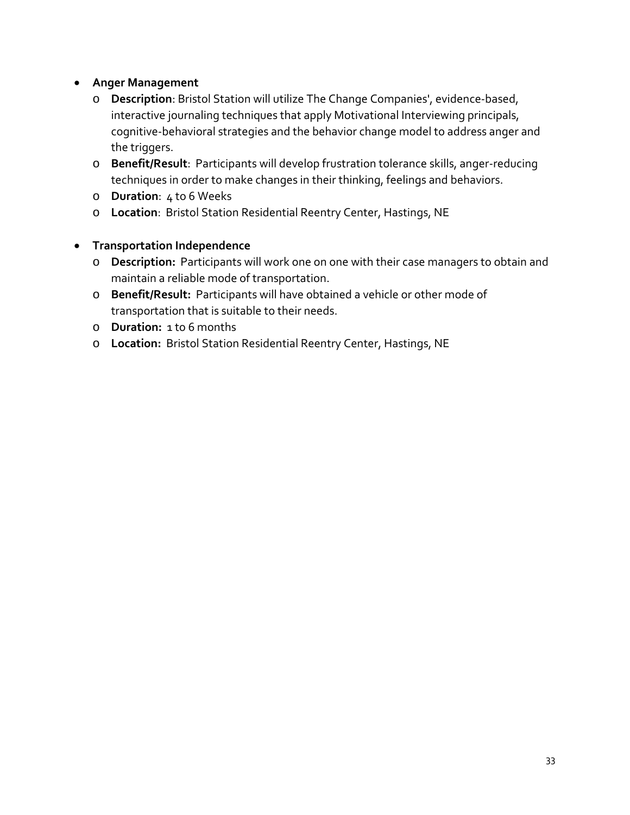# • **Anger Management**

- o **Description**: Bristol Station will utilize The Change Companies', evidence-based, interactive journaling techniques that apply Motivational Interviewing principals, cognitive-behavioral strategies and the behavior change model to address anger and the triggers.
- o **Benefit/Result**: Participants will develop frustration tolerance skills, anger-reducing techniques in order to make changes in their thinking, feelings and behaviors.
- o **Duration**: 4 to 6 Weeks
- o **Location**: Bristol Station Residential Reentry Center, Hastings, NE

# • **Transportation Independence**

- o **Description:** Participants will work one on one with their case managers to obtain and maintain a reliable mode of transportation.
- o **Benefit/Result:** Participants will have obtained a vehicle or other mode of transportation that is suitable to their needs.
- o **Duration:** 1 to 6 months
- o **Location:** Bristol Station Residential Reentry Center, Hastings, NE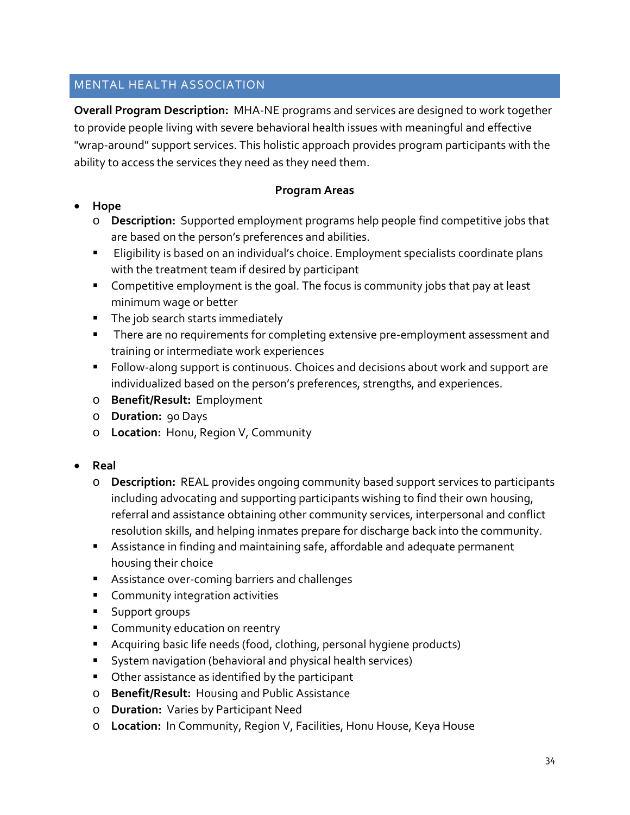# MENTAL HEALTH ASSOCIATION

**Overall Program Description:** MHA-NE programs and services are designed to work together to provide people living with severe behavioral health issues with meaningful and effective "wrap-around" support services. This holistic approach provides program participants with the ability to access the services they need as they need them.

#### **Program Areas**

- **Hope**
	- o **Description:** Supported employment programs help people find competitive jobs that are based on the person's preferences and abilities.
	- **Eligibility is based on an individual's choice. Employment specialists coordinate plans** with the treatment team if desired by participant
	- **Competitive employment is the goal. The focus is community jobs that pay at least** minimum wage or better
	- The job search starts immediately
	- **There are no requirements for completing extensive pre-employment assessment and** training or intermediate work experiences
	- Follow-along support is continuous. Choices and decisions about work and support are individualized based on the person's preferences, strengths, and experiences.
	- o **Benefit/Result:** Employment
	- o **Duration:** 90 Days
	- o **Location:** Honu, Region V, Community

#### • **Real**

- o **Description:** REAL provides ongoing community based support services to participants including advocating and supporting participants wishing to find their own housing, referral and assistance obtaining other community services, interpersonal and conflict resolution skills, and helping inmates prepare for discharge back into the community.
- Assistance in finding and maintaining safe, affordable and adequate permanent housing their choice
- **Assistance over-coming barriers and challenges**
- **Community integration activities**
- **Support groups**
- **Community education on reentry**
- Acquiring basic life needs (food, clothing, personal hygiene products)
- System navigation (behavioral and physical health services)
- **Other assistance as identified by the participant**
- o **Benefit/Result:** Housing and Public Assistance
- o **Duration:** Varies by Participant Need
- o **Location:** In Community, Region V, Facilities, Honu House, Keya House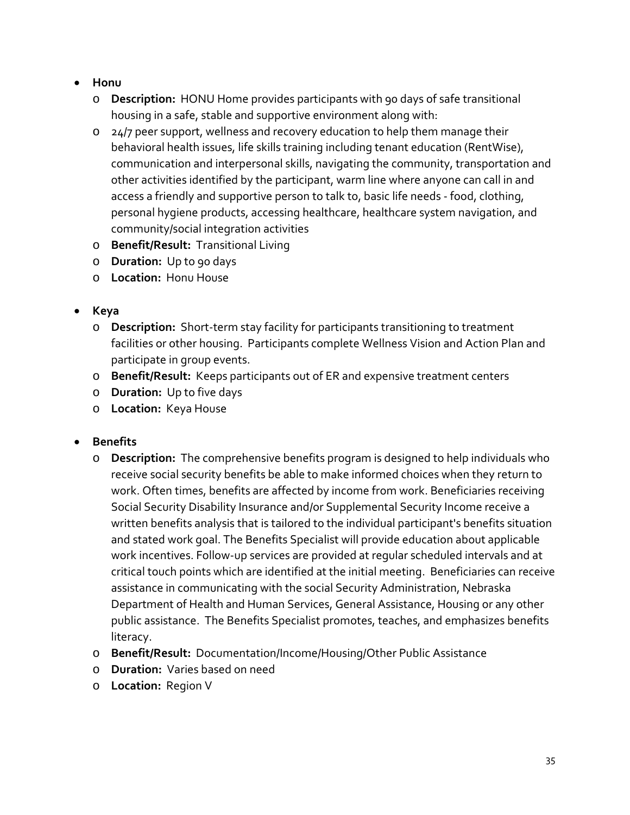- **Honu**
	- o **Description:** HONU Home provides participants with 90 days of safe transitional housing in a safe, stable and supportive environment along with:
	- o 24/7 peer support, wellness and recovery education to help them manage their behavioral health issues, life skills training including tenant education (RentWise), communication and interpersonal skills, navigating the community, transportation and other activities identified by the participant, warm line where anyone can call in and access a friendly and supportive person to talk to, basic life needs - food, clothing, personal hygiene products, accessing healthcare, healthcare system navigation, and community/social integration activities
	- o **Benefit/Result:** Transitional Living
	- o **Duration:** Up to 90 days
	- o **Location:** Honu House

# • **Keya**

- o **Description:** Short-term stay facility for participants transitioning to treatment facilities or other housing. Participants complete Wellness Vision and Action Plan and participate in group events.
- o **Benefit/Result:** Keeps participants out of ER and expensive treatment centers
- o **Duration:** Up to five days
- o **Location:** Keya House

#### • **Benefits**

- o **Description:** The comprehensive benefits program is designed to help individuals who receive social security benefits be able to make informed choices when they return to work. Often times, benefits are affected by income from work. Beneficiaries receiving Social Security Disability Insurance and/or Supplemental Security Income receive a written benefits analysis that is tailored to the individual participant's benefits situation and stated work goal. The Benefits Specialist will provide education about applicable work incentives. Follow-up services are provided at regular scheduled intervals and at critical touch points which are identified at the initial meeting. Beneficiaries can receive assistance in communicating with the social Security Administration, Nebraska Department of Health and Human Services, General Assistance, Housing or any other public assistance. The Benefits Specialist promotes, teaches, and emphasizes benefits literacy.
- o **Benefit/Result:** Documentation/Income/Housing/Other Public Assistance
- o **Duration:** Varies based on need
- o **Location:** Region V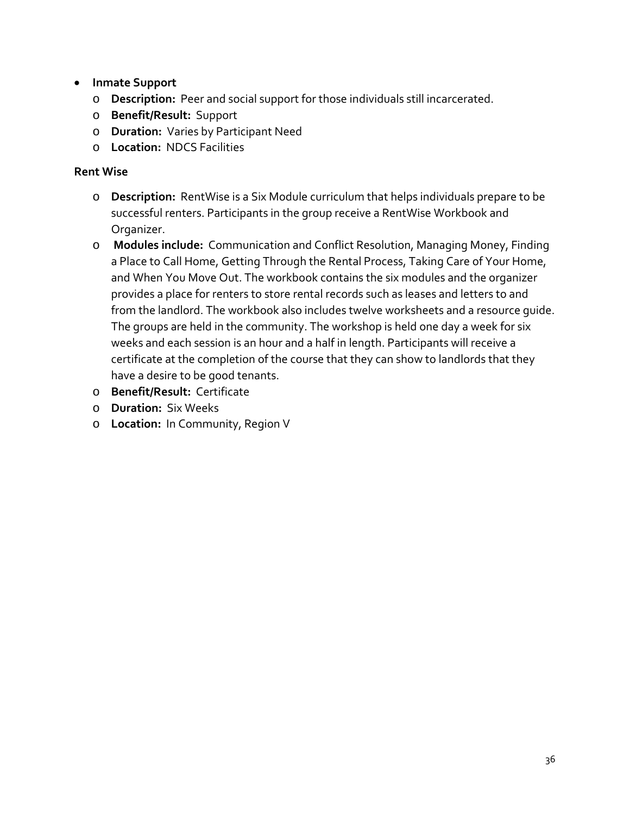- **Inmate Support**
	- o **Description:** Peer and social support for those individuals still incarcerated.
	- o **Benefit/Result:** Support
	- o **Duration:** Varies by Participant Need
	- o **Location:** NDCS Facilities

# **Rent Wise**

- o **Description:** RentWise is a Six Module curriculum that helps individuals prepare to be successful renters. Participants in the group receive a RentWise Workbook and Organizer.
- o **Modules include:** Communication and Conflict Resolution, Managing Money, Finding a Place to Call Home, Getting Through the Rental Process, Taking Care of Your Home, and When You Move Out. The workbook contains the six modules and the organizer provides a place for renters to store rental records such as leases and letters to and from the landlord. The workbook also includes twelve worksheets and a resource guide. The groups are held in the community. The workshop is held one day a week for six weeks and each session is an hour and a half in length. Participants will receive a certificate at the completion of the course that they can show to landlords that they have a desire to be good tenants.
- o **Benefit/Result:** Certificate
- o **Duration:** Six Weeks
- o **Location:** In Community, Region V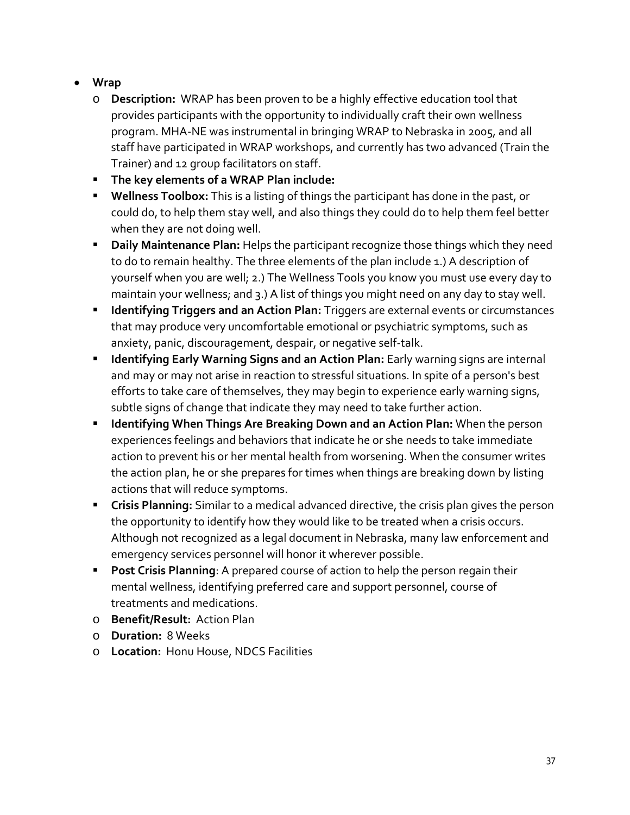- **Wrap**
	- o **Description:** WRAP has been proven to be a highly effective education tool that provides participants with the opportunity to individually craft their own wellness program. MHA-NE was instrumental in bringing WRAP to Nebraska in 2005, and all staff have participated in WRAP workshops, and currently has two advanced (Train the Trainer) and 12 group facilitators on staff.
	- **The key elements of a WRAP Plan include:**
	- **Wellness Toolbox:** This is a listing of things the participant has done in the past, or could do, to help them stay well, and also things they could do to help them feel better when they are not doing well.
	- **Daily Maintenance Plan:** Helps the participant recognize those things which they need to do to remain healthy. The three elements of the plan include 1.) A description of yourself when you are well; 2.) The Wellness Tools you know you must use every day to maintain your wellness; and 3.) A list of things you might need on any day to stay well.
	- **Identifying Triggers and an Action Plan:** Triggers are external events or circumstances that may produce very uncomfortable emotional or psychiatric symptoms, such as anxiety, panic, discouragement, despair, or negative self-talk.
	- **Identifying Early Warning Signs and an Action Plan:** Early warning signs are internal and may or may not arise in reaction to stressful situations. In spite of a person's best efforts to take care of themselves, they may begin to experience early warning signs, subtle signs of change that indicate they may need to take further action.
	- **IDED IS Artifying When Things Are Breaking Down and an Action Plan: When the person in Artify Properson** experiences feelings and behaviors that indicate he or she needs to take immediate action to prevent his or her mental health from worsening. When the consumer writes the action plan, he or she prepares for times when things are breaking down by listing actions that will reduce symptoms.
	- **Crisis Planning:** Similar to a medical advanced directive, the crisis plan gives the person the opportunity to identify how they would like to be treated when a crisis occurs. Although not recognized as a legal document in Nebraska, many law enforcement and emergency services personnel will honor it wherever possible.
	- **Post Crisis Planning**: A prepared course of action to help the person regain their mental wellness, identifying preferred care and support personnel, course of treatments and medications.
	- o **Benefit/Result:** Action Plan
	- o **Duration:** 8 Weeks
	- o **Location:** Honu House, NDCS Facilities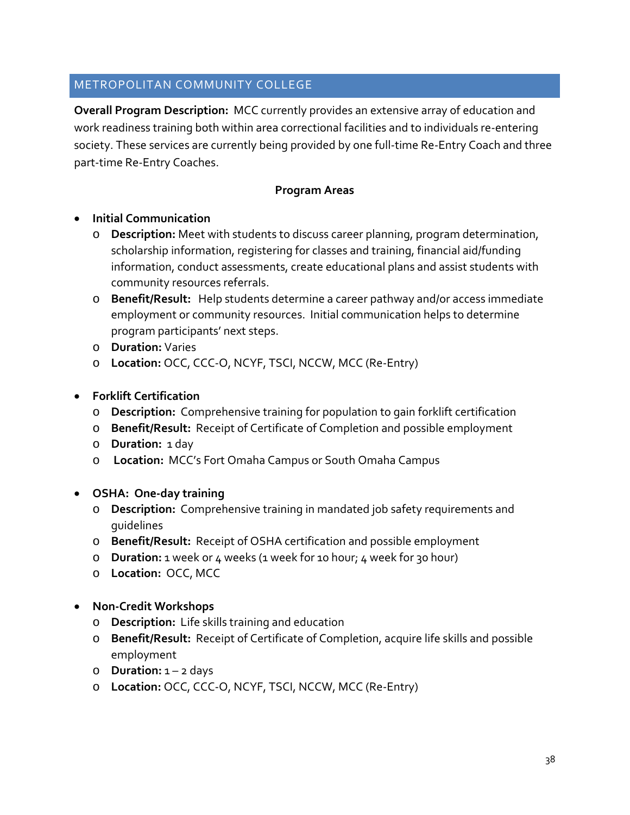# METROPOLITAN COMMUNITY COLLEGE

**Overall Program Description:** MCC currently provides an extensive array of education and work readiness training both within area correctional facilities and to individuals re-entering society. These services are currently being provided by one full-time Re-Entry Coach and three part-time Re-Entry Coaches.

#### **Program Areas**

- **Initial Communication**
	- o **Description:** Meet with students to discuss career planning, program determination, scholarship information, registering for classes and training, financial aid/funding information, conduct assessments, create educational plans and assist students with community resources referrals.
	- o **Benefit/Result:** Help students determine a career pathway and/or access immediate employment or community resources. Initial communication helps to determine program participants' next steps.
	- o **Duration:** Varies
	- o **Location:** OCC, CCC-O, NCYF, TSCI, NCCW, MCC (Re-Entry)
- **Forklift Certification**
	- o **Description:** Comprehensive training for population to gain forklift certification
	- o **Benefit/Result:** Receipt of Certificate of Completion and possible employment
	- o **Duration:** 1 day
	- o **Location:** MCC's Fort Omaha Campus or South Omaha Campus
- **OSHA: One-day training**
	- o **Description:** Comprehensive training in mandated job safety requirements and guidelines
	- o **Benefit/Result:** Receipt of OSHA certification and possible employment
	- o **Duration:** 1 week or 4 weeks (1 week for 10 hour; 4 week for 30 hour)
	- o **Location:** OCC, MCC
- **Non-Credit Workshops**
	- o **Description:** Life skills training and education
	- o **Benefit/Result:** Receipt of Certificate of Completion, acquire life skills and possible employment
	- o **Duration:** 1 2 days
	- o **Location:** OCC, CCC-O, NCYF, TSCI, NCCW, MCC (Re-Entry)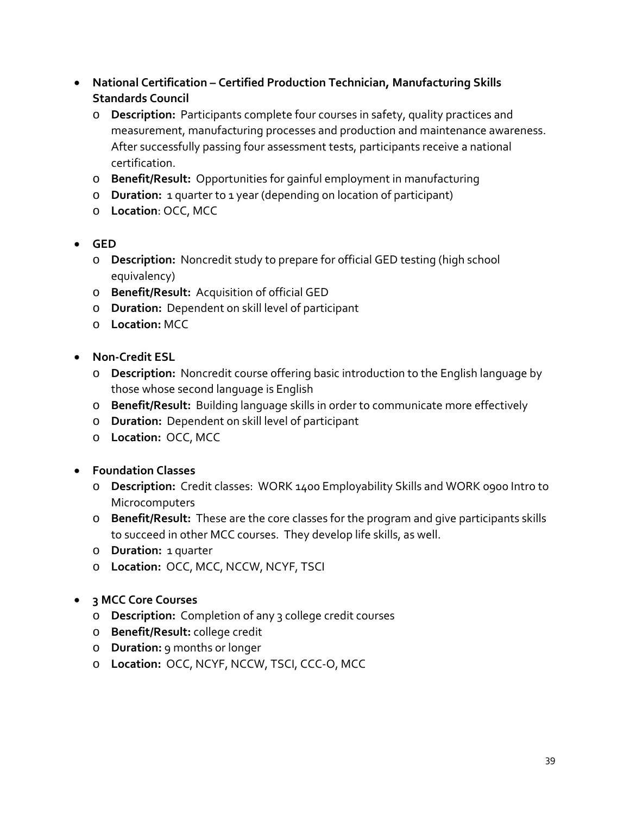- **National Certification – Certified Production Technician, Manufacturing Skills Standards Council** 
	- o **Description:** Participants complete four courses in safety, quality practices and measurement, manufacturing processes and production and maintenance awareness. After successfully passing four assessment tests, participants receive a national certification.
	- o **Benefit/Result:** Opportunities for gainful employment in manufacturing
	- o **Duration:** 1 quarter to 1 year (depending on location of participant)
	- o **Location**: OCC, MCC
- **GED**
	- o **Description:** Noncredit study to prepare for official GED testing (high school equivalency)
	- o **Benefit/Result:** Acquisition of official GED
	- o **Duration:** Dependent on skill level of participant
	- o **Location:** MCC
- **Non-Credit ESL**
	- o **Description:** Noncredit course offering basic introduction to the English language by those whose second language is English
	- o **Benefit/Result:** Building language skills in order to communicate more effectively
	- o **Duration:** Dependent on skill level of participant
	- o **Location:** OCC, MCC
- **Foundation Classes**
	- o **Description:** Credit classes: WORK 1400 Employability Skills and WORK 0900 Intro to **Microcomputers**
	- o **Benefit/Result:** These are the core classes for the program and give participants skills to succeed in other MCC courses. They develop life skills, as well.
	- o **Duration:** 1 quarter
	- o **Location:** OCC, MCC, NCCW, NCYF, TSCI
- **3 MCC Core Courses**
	- o **Description:** Completion of any 3 college credit courses
	- o **Benefit/Result:** college credit
	- o **Duration:** 9 months or longer
	- o **Location:** OCC, NCYF, NCCW, TSCI, CCC-O, MCC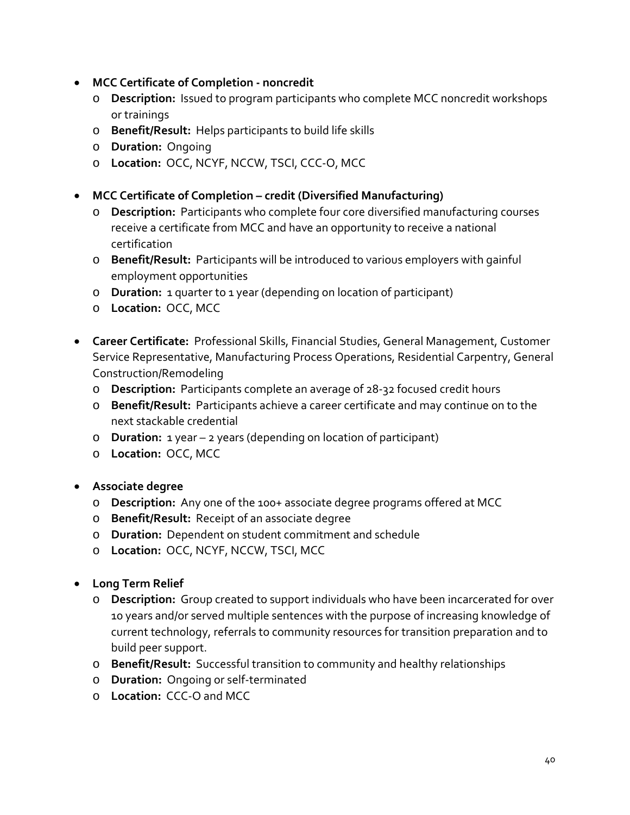- **MCC Certificate of Completion - noncredit**
	- o **Description:** Issued to program participants who complete MCC noncredit workshops or trainings
	- o **Benefit/Result:** Helps participants to build life skills
	- o **Duration:** Ongoing
	- o **Location:** OCC, NCYF, NCCW, TSCI, CCC-O, MCC
- **MCC Certificate of Completion – credit (Diversified Manufacturing)**
	- o **Description:** Participants who complete four core diversified manufacturing courses receive a certificate from MCC and have an opportunity to receive a national certification
	- o **Benefit/Result:** Participants will be introduced to various employers with gainful employment opportunities
	- o **Duration:** 1 quarter to 1 year (depending on location of participant)
	- o **Location:** OCC, MCC
- **Career Certificate:** Professional Skills, Financial Studies, General Management, Customer Service Representative, Manufacturing Process Operations, Residential Carpentry, General Construction/Remodeling
	- o **Description:** Participants complete an average of 28-32 focused credit hours
	- o **Benefit/Result:** Participants achieve a career certificate and may continue on to the next stackable credential
	- o **Duration:** 1 year 2 years (depending on location of participant)
	- o **Location:** OCC, MCC
- **Associate degree**
	- o **Description:** Any one of the 100+ associate degree programs offered at MCC
	- o **Benefit/Result:** Receipt of an associate degree
	- o **Duration:** Dependent on student commitment and schedule
	- o **Location:** OCC, NCYF, NCCW, TSCI, MCC
- **Long Term Relief**
	- o **Description:** Group created to support individuals who have been incarcerated for over 10 years and/or served multiple sentences with the purpose of increasing knowledge of current technology, referrals to community resources for transition preparation and to build peer support.
	- o **Benefit/Result:** Successful transition to community and healthy relationships
	- o **Duration:** Ongoing or self-terminated
	- o **Location:** CCC-O and MCC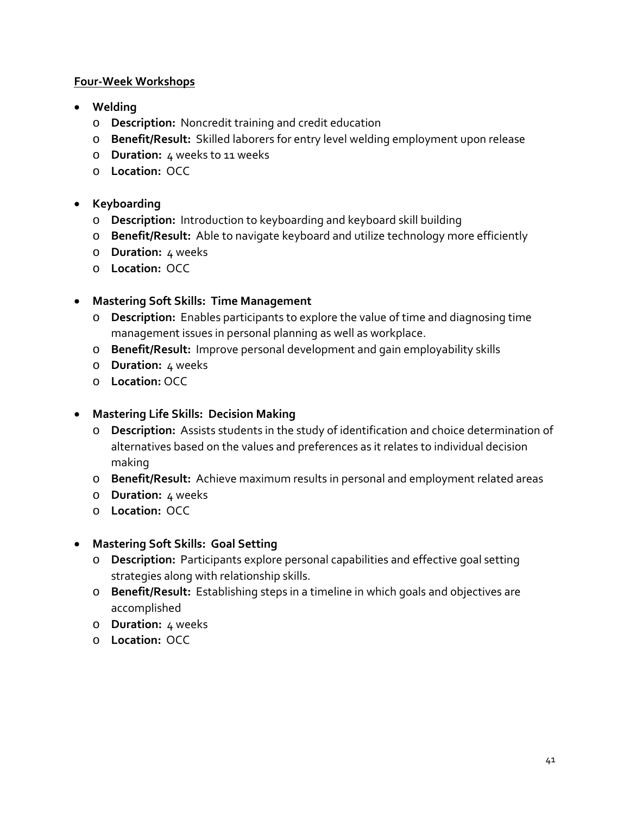## **Four-Week Workshops**

- **Welding**
	- o **Description:** Noncredit training and credit education
	- o **Benefit/Result:** Skilled laborers for entry level welding employment upon release
	- o **Duration:** 4 weeks to 11 weeks
	- o **Location:** OCC
- **Keyboarding**
	- o **Description:** Introduction to keyboarding and keyboard skill building
	- o **Benefit/Result:** Able to navigate keyboard and utilize technology more efficiently
	- o **Duration:** 4 weeks
	- o **Location:** OCC

# • **Mastering Soft Skills: Time Management**

- o **Description:** Enables participants to explore the value of time and diagnosing time management issues in personal planning as well as workplace.
- o **Benefit/Result:** Improve personal development and gain employability skills
- o **Duration:** 4 weeks
- o **Location:** OCC

# • **Mastering Life Skills: Decision Making**

- o **Description:** Assists students in the study of identification and choice determination of alternatives based on the values and preferences as it relates to individual decision making
- o **Benefit/Result:** Achieve maximum results in personal and employment related areas
- o **Duration:** 4 weeks
- o **Location:** OCC

# • **Mastering Soft Skills: Goal Setting**

- o **Description:** Participants explore personal capabilities and effective goal setting strategies along with relationship skills.
- o **Benefit/Result:** Establishing steps in a timeline in which goals and objectives are accomplished
- o **Duration:** 4 weeks
- o **Location:** OCC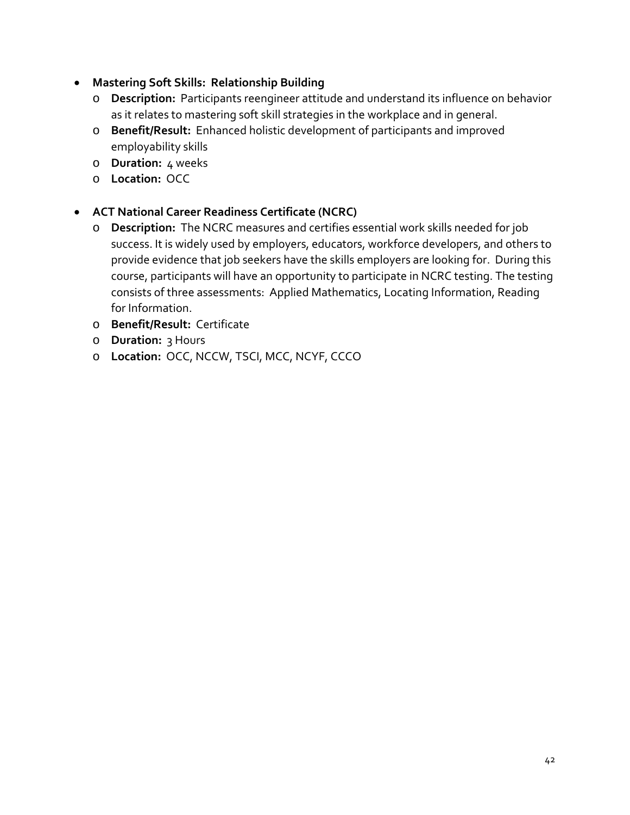- **Mastering Soft Skills: Relationship Building** 
	- o **Description:** Participants reengineer attitude and understand its influence on behavior as it relates to mastering soft skill strategies in the workplace and in general.
	- o **Benefit/Result:** Enhanced holistic development of participants and improved employability skills
	- o **Duration:** 4 weeks
	- o **Location:** OCC
- **ACT National Career Readiness Certificate (NCRC)**
	- o **Description:** The NCRC measures and certifies essential work skills needed for job success. It is widely used by employers, educators, workforce developers, and others to provide evidence that job seekers have the skills employers are looking for. During this course, participants will have an opportunity to participate in NCRC testing. The testing consists of three assessments: Applied Mathematics, Locating Information, Reading for Information.
	- o **Benefit/Result:** Certificate
	- o **Duration:** 3 Hours
	- o **Location:** OCC, NCCW, TSCI, MCC, NCYF, CCCO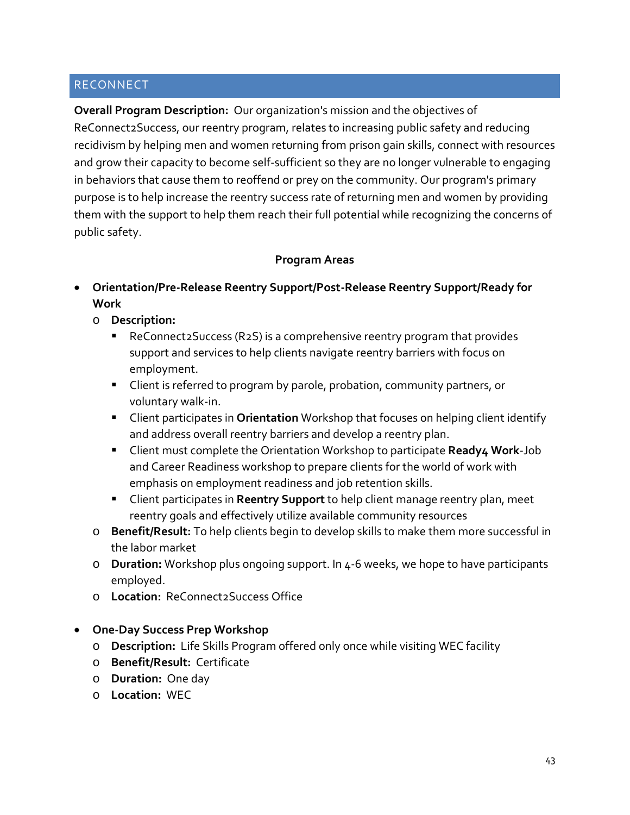# RECONNECT

**Overall Program Description:** Our organization's mission and the objectives of ReConnect2Success, our reentry program, relates to increasing public safety and reducing recidivism by helping men and women returning from prison gain skills, connect with resources and grow their capacity to become self-sufficient so they are no longer vulnerable to engaging in behaviors that cause them to reoffend or prey on the community. Our program's primary purpose is to help increase the reentry success rate of returning men and women by providing them with the support to help them reach their full potential while recognizing the concerns of public safety.

#### **Program Areas**

- **Orientation/Pre-Release Reentry Support/Post-Release Reentry Support/Ready for Work**
	- o **Description:**
		- ReConnect 2 Success (R2S) is a comprehensive reentry program that provides support and services to help clients navigate reentry barriers with focus on employment.
		- **EXTENT** Client is referred to program by parole, probation, community partners, or voluntary walk-in.
		- Client participates in **Orientation** Workshop that focuses on helping client identify and address overall reentry barriers and develop a reentry plan.
		- Client must complete the Orientation Workshop to participate **Ready4 Work**-Job and Career Readiness workshop to prepare clients for the world of work with emphasis on employment readiness and job retention skills.
		- Client participates in **Reentry Support** to help client manage reentry plan, meet reentry goals and effectively utilize available community resources
	- o **Benefit/Result:** To help clients begin to develop skills to make them more successful in the labor market
	- o **Duration:** Workshop plus ongoing support. In 4-6 weeks, we hope to have participants employed.
	- o **Location:** ReConnect2Success Office

#### • **One-Day Success Prep Workshop**

- o **Description:** Life Skills Program offered only once while visiting WEC facility
- o **Benefit/Result:** Certificate
- o **Duration:** One day
- o **Location:** WEC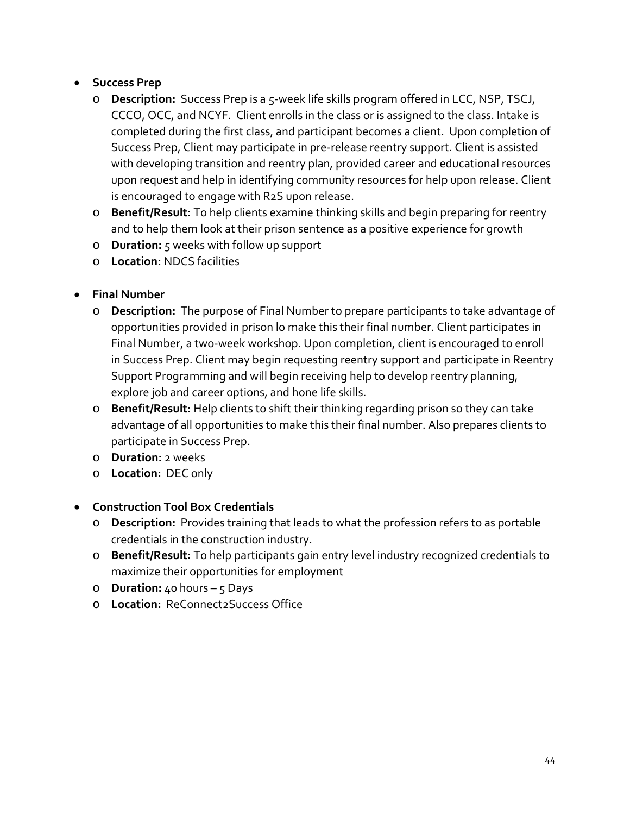# • **Success Prep**

- o **Description:** Success Prep is a 5-week life skills program offered in LCC, NSP, TSCJ, CCCO, OCC, and NCYF. Client enrolls in the class or is assigned to the class. Intake is completed during the first class, and participant becomes a client. Upon completion of Success Prep, Client may participate in pre-release reentry support. Client is assisted with developing transition and reentry plan, provided career and educational resources upon request and help in identifying community resources for help upon release. Client is encouraged to engage with R2S upon release.
- o **Benefit/Result:** To help clients examine thinking skills and begin preparing for reentry and to help them look at their prison sentence as a positive experience for growth
- o **Duration:** 5 weeks with follow up support
- o **Location:** NDCS facilities
- **Final Number**
	- o **Description:** The purpose of Final Number to prepare participants to take advantage of opportunities provided in prison lo make this their final number. Client participates in Final Number, a two-week workshop. Upon completion, client is encouraged to enroll in Success Prep. Client may begin requesting reentry support and participate in Reentry Support Programming and will begin receiving help to develop reentry planning, explore job and career options, and hone life skills.
	- o **Benefit/Result:** Help clients to shift their thinking regarding prison so they can take advantage of all opportunities to make this their final number. Also prepares clients to participate in Success Prep.
	- o **Duration:** 2 weeks
	- o **Location:** DEC only
- **Construction Tool Box Credentials**
	- o **Description:** Provides training that leads to what the profession refers to as portable credentials in the construction industry.
	- o **Benefit/Result:** To help participants gain entry level industry recognized credentials to maximize their opportunities for employment
	- o **Duration:** 40 hours 5 Days
	- o **Location:** ReConnect2Success Office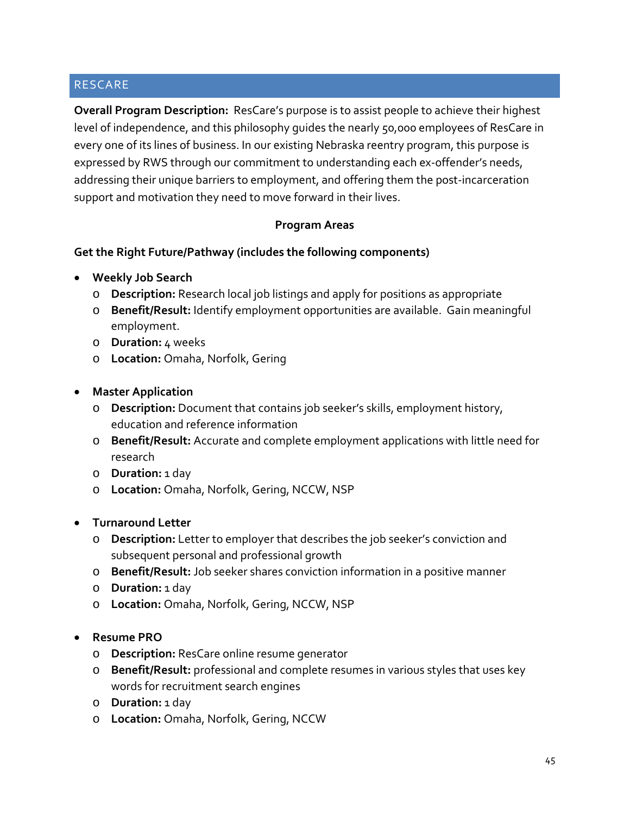# RESCARE

**Overall Program Description:** ResCare's purpose is to assist people to achieve their highest level of independence, and this philosophy guides the nearly 50,000 employees of ResCare in every one of its lines of business. In our existing Nebraska reentry program, this purpose is expressed by RWS through our commitment to understanding each ex-offender's needs, addressing their unique barriers to employment, and offering them the post-incarceration support and motivation they need to move forward in their lives.

#### **Program Areas**

#### **Get the Right Future/Pathway (includes the following components)**

- **Weekly Job Search**
	- o **Description:** Research local job listings and apply for positions as appropriate
	- o **Benefit/Result:** Identify employment opportunities are available. Gain meaningful employment.
	- o **Duration:** 4 weeks
	- o **Location:** Omaha, Norfolk, Gering
- **Master Application**
	- o **Description:** Document that contains job seeker's skills, employment history, education and reference information
	- o **Benefit/Result:** Accurate and complete employment applications with little need for research
	- o **Duration:** 1 day
	- o **Location:** Omaha, Norfolk, Gering, NCCW, NSP
- **Turnaround Letter**
	- o **Description:** Letter to employer that describes the job seeker's conviction and subsequent personal and professional growth
	- o **Benefit/Result:** Job seeker shares conviction information in a positive manner
	- o **Duration:** 1 day
	- o **Location:** Omaha, Norfolk, Gering, NCCW, NSP
- **Resume PRO**
	- o **Description:** ResCare online resume generator
	- o **Benefit/Result:** professional and complete resumes in various styles that uses key words for recruitment search engines
	- o **Duration:** 1 day
	- o **Location:** Omaha, Norfolk, Gering, NCCW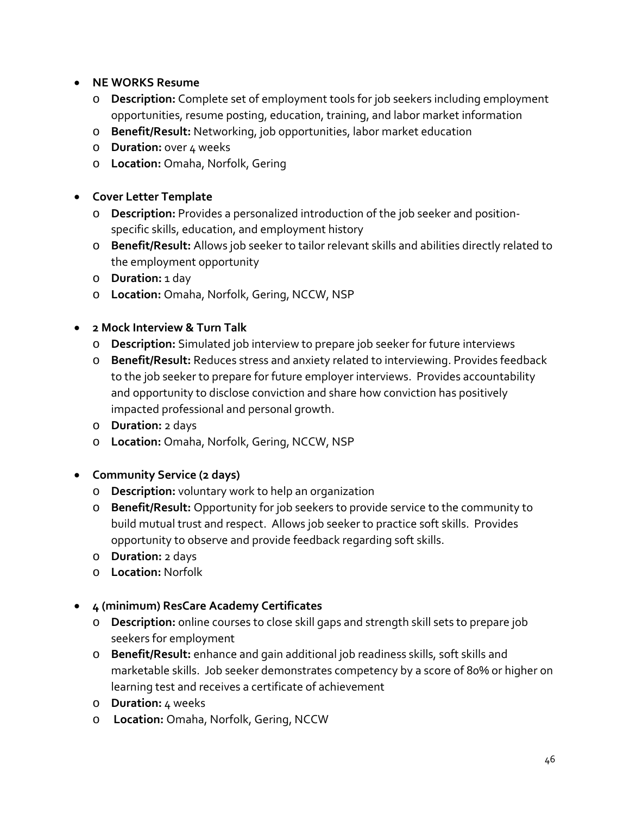- **NE WORKS Resume**
	- o **Description:** Complete set of employment tools for job seekers including employment opportunities, resume posting, education, training, and labor market information
	- o **Benefit/Result:** Networking, job opportunities, labor market education
	- o **Duration:** over 4 weeks
	- o **Location:** Omaha, Norfolk, Gering

# • **Cover Letter Template**

- o **Description:** Provides a personalized introduction of the job seeker and positionspecific skills, education, and employment history
- o **Benefit/Result:** Allows job seeker to tailor relevant skills and abilities directly related to the employment opportunity
- o **Duration:** 1 day
- o **Location:** Omaha, Norfolk, Gering, NCCW, NSP

#### • **2 Mock Interview & Turn Talk**

- o **Description:** Simulated job interview to prepare job seeker for future interviews
- o **Benefit/Result:** Reduces stress and anxiety related to interviewing. Provides feedback to the job seeker to prepare for future employer interviews. Provides accountability and opportunity to disclose conviction and share how conviction has positively impacted professional and personal growth.
- o **Duration:** 2 days
- o **Location:** Omaha, Norfolk, Gering, NCCW, NSP
- **Community Service (2 days)**
	- o **Description:** voluntary work to help an organization
	- o **Benefit/Result:** Opportunity for job seekers to provide service to the community to build mutual trust and respect. Allows job seeker to practice soft skills. Provides opportunity to observe and provide feedback regarding soft skills.
	- o **Duration:** 2 days
	- o **Location:** Norfolk

# • **4 (minimum) ResCare Academy Certificates**

- o **Description:** online courses to close skill gaps and strength skill sets to prepare job seekers for employment
- o **Benefit/Result:** enhance and gain additional job readiness skills, soft skills and marketable skills. Job seeker demonstrates competency by a score of 80% or higher on learning test and receives a certificate of achievement
- o **Duration:** 4 weeks
- o **Location:** Omaha, Norfolk, Gering, NCCW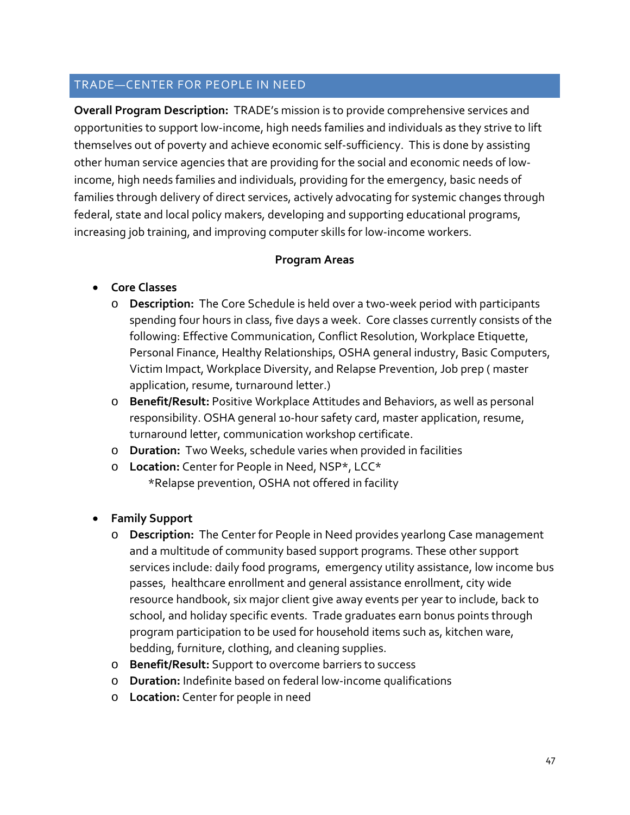#### TRADE—CENTER FOR PEOPLE IN NEED

**Overall Program Description:** TRADE's mission is to provide comprehensive services and opportunities to support low-income, high needs families and individuals as they strive to lift themselves out of poverty and achieve economic self-sufficiency. This is done by assisting other human service agencies that are providing for the social and economic needs of lowincome, high needs families and individuals, providing for the emergency, basic needs of families through delivery of direct services, actively advocating for systemic changes through federal, state and local policy makers, developing and supporting educational programs, increasing job training, and improving computer skills for low-income workers.

#### **Program Areas**

# • **Core Classes**

- o **Description:** The Core Schedule is held over a two-week period with participants spending four hours in class, five days a week. Core classes currently consists of the following: Effective Communication, Conflict Resolution, Workplace Etiquette, Personal Finance, Healthy Relationships, OSHA general industry, Basic Computers, Victim Impact, Workplace Diversity, and Relapse Prevention, Job prep ( master application, resume, turnaround letter.)
- o **Benefit/Result:** Positive Workplace Attitudes and Behaviors, as well as personal responsibility. OSHA general 10-hour safety card, master application, resume, turnaround letter, communication workshop certificate.
- o **Duration:** Two Weeks, schedule varies when provided in facilities
- o **Location:** Center for People in Need, NSP\*, LCC\* \*Relapse prevention, OSHA not offered in facility

#### • **Family Support**

- o **Description:** The Center for People in Need provides yearlong Case management and a multitude of community based support programs. These other support services include: daily food programs, emergency utility assistance, low income bus passes, healthcare enrollment and general assistance enrollment, city wide resource handbook, six major client give away events per year to include, back to school, and holiday specific events. Trade graduates earn bonus points through program participation to be used for household items such as, kitchen ware, bedding, furniture, clothing, and cleaning supplies.
- o **Benefit/Result:** Support to overcome barriers to success
- o **Duration:** Indefinite based on federal low-income qualifications
- o **Location:** Center for people in need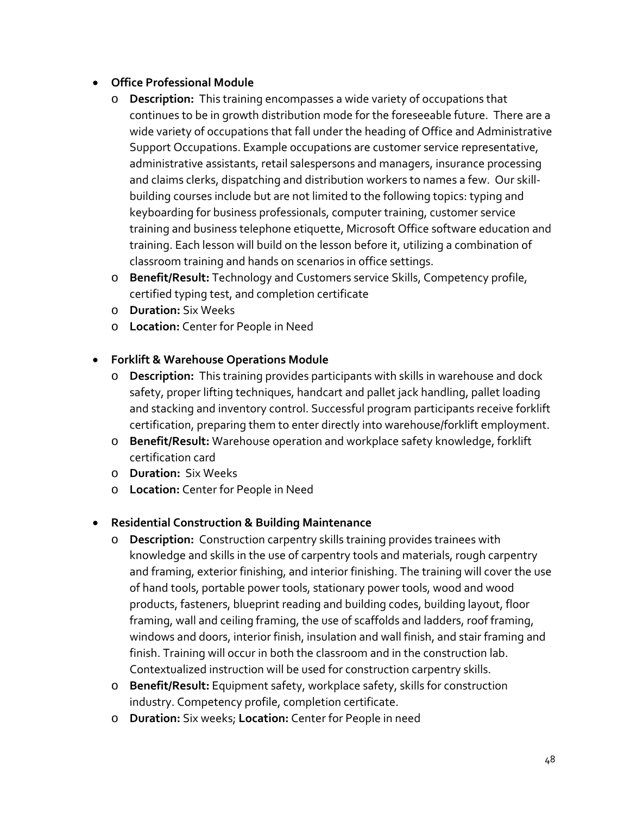# • **Office Professional Module**

- o **Description:** This training encompasses a wide variety of occupations that continues to be in growth distribution mode for the foreseeable future. There are a wide variety of occupations that fall under the heading of Office and Administrative Support Occupations. Example occupations are customer service representative, administrative assistants, retail salespersons and managers, insurance processing and claims clerks, dispatching and distribution workers to names a few. Our skillbuilding courses include but are not limited to the following topics: typing and keyboarding for business professionals, computer training, customer service training and business telephone etiquette, Microsoft Office software education and training. Each lesson will build on the lesson before it, utilizing a combination of classroom training and hands on scenarios in office settings.
- o **Benefit/Result:** Technology and Customers service Skills, Competency profile, certified typing test, and completion certificate
- o **Duration:** Six Weeks
- o **Location:** Center for People in Need

# • **Forklift & Warehouse Operations Module**

- o **Description:** This training provides participants with skills in warehouse and dock safety, proper lifting techniques, handcart and pallet jack handling, pallet loading and stacking and inventory control. Successful program participants receive forklift certification, preparing them to enter directly into warehouse/forklift employment.
- o **Benefit/Result:** Warehouse operation and workplace safety knowledge, forklift certification card
- o **Duration:** Six Weeks
- o **Location:** Center for People in Need

# • **Residential Construction & Building Maintenance**

- o **Description:** Construction carpentry skills training provides trainees with knowledge and skills in the use of carpentry tools and materials, rough carpentry and framing, exterior finishing, and interior finishing. The training will cover the use of hand tools, portable power tools, stationary power tools, wood and wood products, fasteners, blueprint reading and building codes, building layout, floor framing, wall and ceiling framing, the use of scaffolds and ladders, roof framing, windows and doors, interior finish, insulation and wall finish, and stair framing and finish. Training will occur in both the classroom and in the construction lab. Contextualized instruction will be used for construction carpentry skills.
- o **Benefit/Result:** Equipment safety, workplace safety, skills for construction industry. Competency profile, completion certificate.
- o **Duration:** Six weeks; **Location:** Center for People in need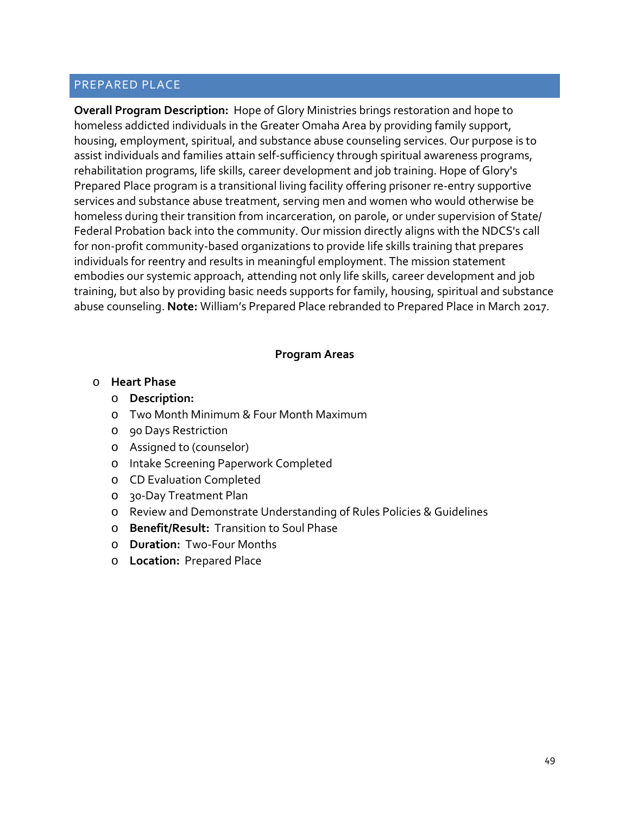#### PREPARED PLACE

**Overall Program Description:** Hope of Glory Ministries brings restoration and hope to homeless addicted individuals in the Greater Omaha Area by providing family support, housing, employment, spiritual, and substance abuse counseling services. Our purpose is to assist individuals and families attain self-sufficiency through spiritual awareness programs, rehabilitation programs, life skills, career development and job training. Hope of Glory's Prepared Place program is a transitional living facility offering prisoner re-entry supportive services and substance abuse treatment, serving men and women who would otherwise be homeless during their transition from incarceration, on parole, or under supervision of State/ Federal Probation back into the community. Our mission directly aligns with the NDCS's call for non-profit community-based organizations to provide life skills training that prepares individuals for reentry and results in meaningful employment. The mission statement embodies our systemic approach, attending not only life skills, career development and job training, but also by providing basic needs supports for family, housing, spiritual and substance abuse counseling. **Note:** William's Prepared Place rebranded to Prepared Place in March 2017.

#### **Program Areas**

#### o **Heart Phase**

- o **Description:**
- o Two Month Minimum & Four Month Maximum
- o 90 Days Restriction
- o Assigned to (counselor)
- o Intake Screening Paperwork Completed
- o CD Evaluation Completed
- o 30-Day Treatment Plan
- o Review and Demonstrate Understanding of Rules Policies & Guidelines
- o **Benefit/Result:** Transition to Soul Phase
- o **Duration:** Two-Four Months
- o **Location:** Prepared Place